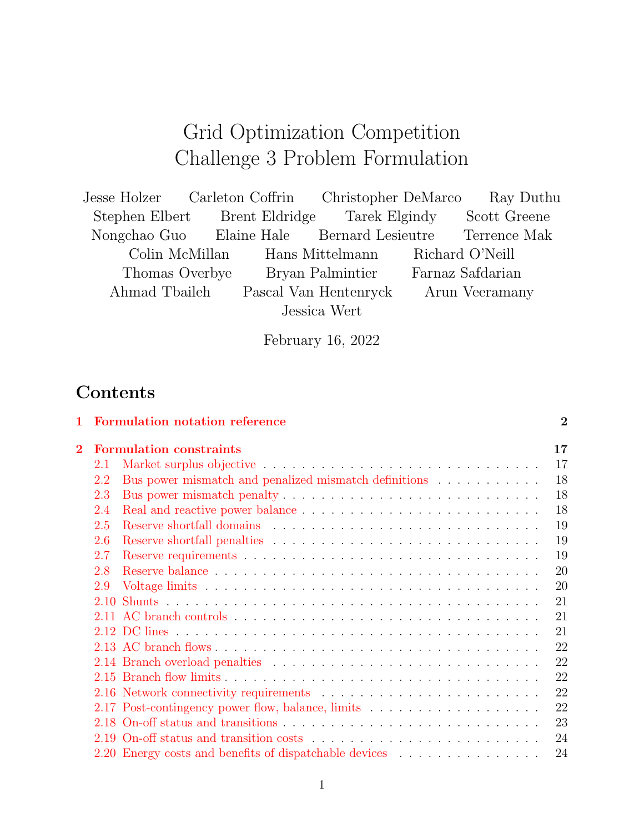# Grid Optimization Competition Challenge 3 Problem Formulation

| Jesse Holzer Carleton Coffrin Christopher DeMarco |  |                                                | Ray Duthu        |
|---------------------------------------------------|--|------------------------------------------------|------------------|
| Stephen Elbert Brent Eldridge Tarek Elgindy       |  |                                                | Scott Greene     |
| Nongchao Guo Elaine Hale Bernard Lesieutre        |  |                                                | Terrence Mak     |
|                                                   |  | Colin McMillan Hans Mittelmann Richard O'Neill |                  |
| Thomas Overbye                                    |  | Bryan Palmintier                               | Farnaz Safdarian |
| Ahmad Tbaileh                                     |  | Pascal Van Hentenryck                          | Arun Veeramany   |
|                                                   |  | Jessica Wert                                   |                  |

February 16, 2022

## Contents

| $\mathbf{1}$   |     | <b>Formulation notation reference</b>                  | $\overline{2}$ |
|----------------|-----|--------------------------------------------------------|----------------|
| $\overline{2}$ |     | <b>Formulation constraints</b>                         | 17             |
|                | 2.1 |                                                        | 17             |
|                | 2.2 | Bus power mismatch and penalized mismatch definitions  | 18             |
|                | 2.3 |                                                        | 18             |
|                | 2.4 |                                                        | 18             |
|                | 2.5 |                                                        | 19             |
|                | 2.6 |                                                        | 19             |
|                | 2.7 |                                                        | 19             |
|                | 2.8 |                                                        | 20             |
|                | 2.9 |                                                        | 20             |
|                |     |                                                        | 21             |
|                |     |                                                        | 21             |
|                |     |                                                        | 21             |
|                |     |                                                        | 22             |
|                |     |                                                        | 22             |
|                |     |                                                        | 22             |
|                |     |                                                        | 22             |
|                |     |                                                        | 22             |
|                |     |                                                        | 23             |
|                |     |                                                        | 24             |
|                |     | 2.20 Energy costs and benefits of dispatchable devices | 24             |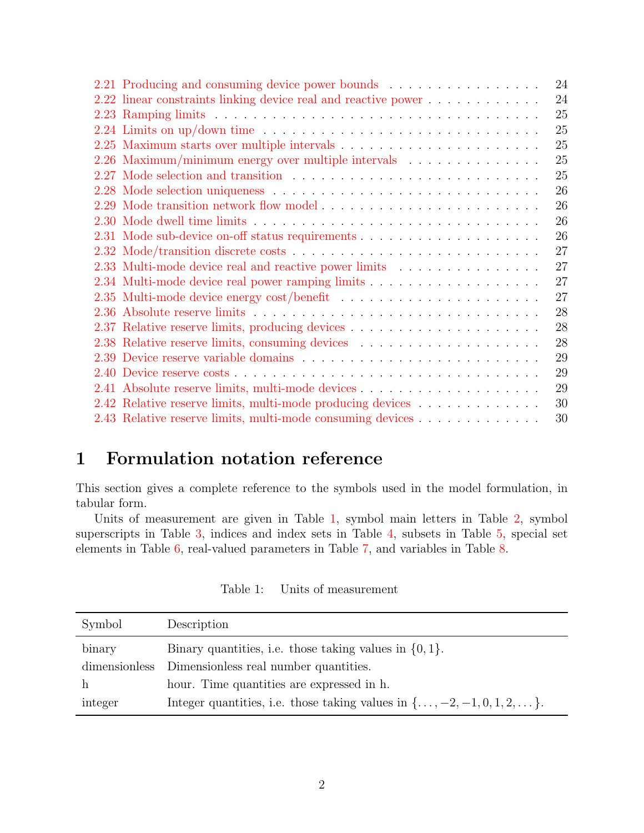| 2.21 Producing and consuming device power bounds                                                    |  |  |  |  |  |  | 24 |
|-----------------------------------------------------------------------------------------------------|--|--|--|--|--|--|----|
| 2.22 linear constraints linking device real and reactive power                                      |  |  |  |  |  |  | 24 |
|                                                                                                     |  |  |  |  |  |  | 25 |
| 2.24 Limits on up/down time $\ldots \ldots \ldots \ldots \ldots \ldots \ldots \ldots \ldots \ldots$ |  |  |  |  |  |  | 25 |
| 2.25 Maximum starts over multiple intervals $\ldots \ldots \ldots \ldots \ldots \ldots \ldots$      |  |  |  |  |  |  | 25 |
| 2.26 Maximum/minimum energy over multiple intervals                                                 |  |  |  |  |  |  | 25 |
|                                                                                                     |  |  |  |  |  |  | 25 |
|                                                                                                     |  |  |  |  |  |  | 26 |
| 2.29 Mode transition network flow model                                                             |  |  |  |  |  |  | 26 |
|                                                                                                     |  |  |  |  |  |  | 26 |
|                                                                                                     |  |  |  |  |  |  | 26 |
|                                                                                                     |  |  |  |  |  |  | 27 |
| 2.33 Multi-mode device real and reactive power limits                                               |  |  |  |  |  |  | 27 |
|                                                                                                     |  |  |  |  |  |  | 27 |
|                                                                                                     |  |  |  |  |  |  | 27 |
|                                                                                                     |  |  |  |  |  |  | 28 |
|                                                                                                     |  |  |  |  |  |  | 28 |
|                                                                                                     |  |  |  |  |  |  | 28 |
|                                                                                                     |  |  |  |  |  |  | 29 |
|                                                                                                     |  |  |  |  |  |  | 29 |
|                                                                                                     |  |  |  |  |  |  | 29 |
| 2.42 Relative reserve limits, multi-mode producing devices                                          |  |  |  |  |  |  | 30 |
| 2.43 Relative reserve limits, multi-mode consuming devices                                          |  |  |  |  |  |  | 30 |

## <span id="page-1-0"></span>1 Formulation notation reference

This section gives a complete reference to the symbols used in the model formulation, in tabular form.

Units of measurement are given in Table [1,](#page-1-1) symbol main letters in Table [2,](#page-2-0) symbol superscripts in Table [3,](#page-3-0) indices and index sets in Table [4,](#page-5-0) subsets in Table [5,](#page-5-1) special set elements in Table [6,](#page-6-0) real-valued parameters in Table [7,](#page-7-0) and variables in Table [8.](#page-13-0)

<span id="page-1-1"></span>

| Symbol        | Description                                                                             |
|---------------|-----------------------------------------------------------------------------------------|
| binary        | Binary quantities, i.e. those taking values in $\{0,1\}$ .                              |
| dimensionless | Dimensionless real number quantities.                                                   |
|               | hour. Time quantities are expressed in h.                                               |
| integer       | Integer quantities, i.e. those taking values in $\{\ldots, -2, -1, 0, 1, 2, \ldots\}$ . |

Table 1: Units of measurement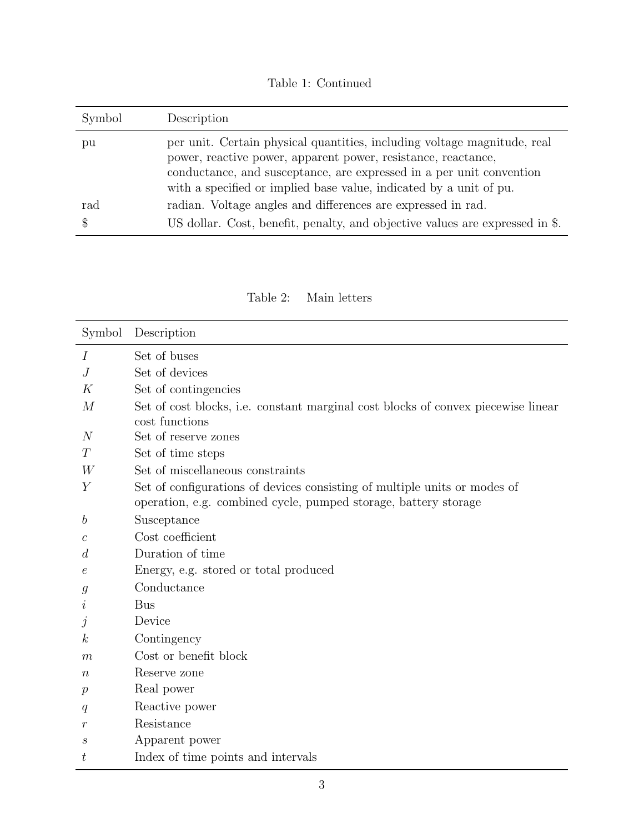Table 1: Continued

| Symbol | Description                                                                                                                                                                                                                                                                             |
|--------|-----------------------------------------------------------------------------------------------------------------------------------------------------------------------------------------------------------------------------------------------------------------------------------------|
| pu     | per unit. Certain physical quantities, including voltage magnitude, real<br>power, reactive power, apparent power, resistance, reactance,<br>conductance, and susceptance, are expressed in a per unit convention<br>with a specified or implied base value, indicated by a unit of pu. |
| rad    | radian. Voltage angles and differences are expressed in rad.                                                                                                                                                                                                                            |
|        | US dollar. Cost, benefit, penalty, and objective values are expressed in \$.                                                                                                                                                                                                            |

Table 2: Main letters

<span id="page-2-0"></span>

| Symbol           | Description                                                                                                                                  |
|------------------|----------------------------------------------------------------------------------------------------------------------------------------------|
| Ι                | Set of buses                                                                                                                                 |
| J                | Set of devices                                                                                                                               |
| K                | Set of contingencies                                                                                                                         |
| $\overline{M}$   | Set of cost blocks, i.e. constant marginal cost blocks of convex piecewise linear                                                            |
|                  | cost functions                                                                                                                               |
| N                | Set of reserve zones                                                                                                                         |
| T                | Set of time steps                                                                                                                            |
| W                | Set of miscellaneous constraints                                                                                                             |
| Y                | Set of configurations of devices consisting of multiple units or modes of<br>operation, e.g. combined cycle, pumped storage, battery storage |
| b                | Susceptance                                                                                                                                  |
| $\mathcal C$     | Cost coefficient                                                                                                                             |
| $\overline{d}$   | Duration of time                                                                                                                             |
| е                | Energy, e.g. stored or total produced                                                                                                        |
| g                | Conductance                                                                                                                                  |
| $\imath$         | <b>Bus</b>                                                                                                                                   |
| .1               | Device                                                                                                                                       |
| $\boldsymbol{k}$ | Contingency                                                                                                                                  |
| m                | Cost or benefit block                                                                                                                        |
| $\, n$           | Reserve zone                                                                                                                                 |
| $\boldsymbol{p}$ | Real power                                                                                                                                   |
| q                | Reactive power                                                                                                                               |
| $\,r$            | Resistance                                                                                                                                   |
| $\boldsymbol{s}$ | Apparent power                                                                                                                               |
| $t\,$            | Index of time points and intervals                                                                                                           |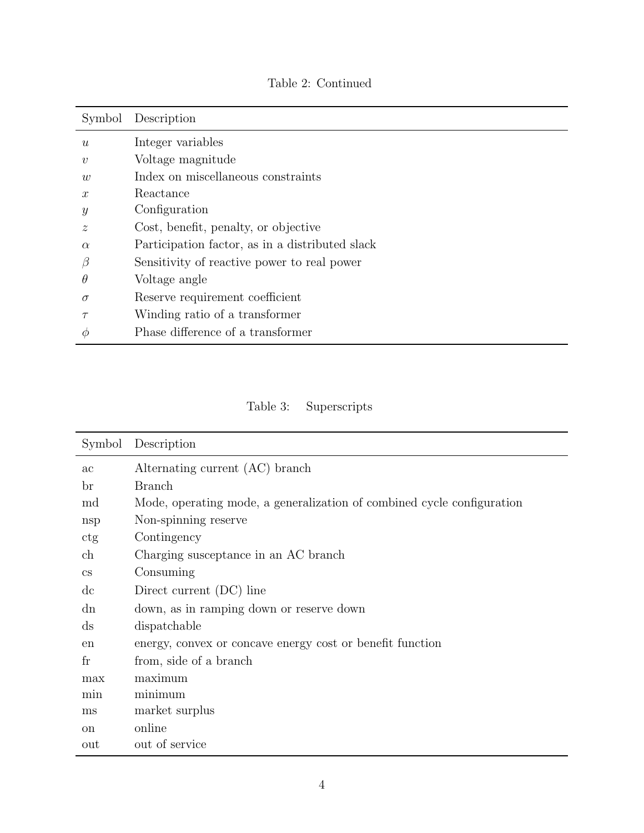|                           | Symbol Description                              |
|---------------------------|-------------------------------------------------|
| $\boldsymbol{u}$          | Integer variables                               |
| $\boldsymbol{v}$          | Voltage magnitude                               |
| $\overline{w}$            | Index on miscellaneous constraints              |
| $\mathcal{X}$             | Reactance                                       |
| $\mathcal{Y}$             | Configuration                                   |
| $\widetilde{\mathcal{Z}}$ | Cost, benefit, penalty, or objective            |
| $\alpha$                  | Participation factor, as in a distributed slack |
| β                         | Sensitivity of reactive power to real power     |
| $\theta$                  | Voltage angle                                   |
| $\sigma$                  | Reserve requirement coefficient                 |
| $\tau$                    | Winding ratio of a transformer                  |
| Ф                         | Phase difference of a transformer               |

Table 2: Continued

Table 3: Superscripts

<span id="page-3-0"></span>

| Symbol                     | Description                                                            |
|----------------------------|------------------------------------------------------------------------|
| ac                         | Alternating current (AC) branch                                        |
| br                         | <b>Branch</b>                                                          |
| md                         | Mode, operating mode, a generalization of combined cycle configuration |
| nsp                        | Non-spinning reserve                                                   |
| ctg                        | Contingency                                                            |
| ch                         | Charging susceptance in an AC branch                                   |
| $\mathbf{c}\mathbf{s}$     | Consuming                                                              |
| $\mathrm{d}\mathrm{c}$     | Direct current (DC) line                                               |
| dn                         | down, as in ramping down or reserve down                               |
| $\mathrm{d}\mathrm{s}$     | dispatchable                                                           |
| en                         | energy, convex or concave energy cost or benefit function              |
| $\mathop{\rm fr}\nolimits$ | from, side of a branch                                                 |
| max                        | maximum                                                                |
| min                        | minimum                                                                |
| ms                         | market surplus                                                         |
| <sub>on</sub>              | online                                                                 |
| out                        | out of service                                                         |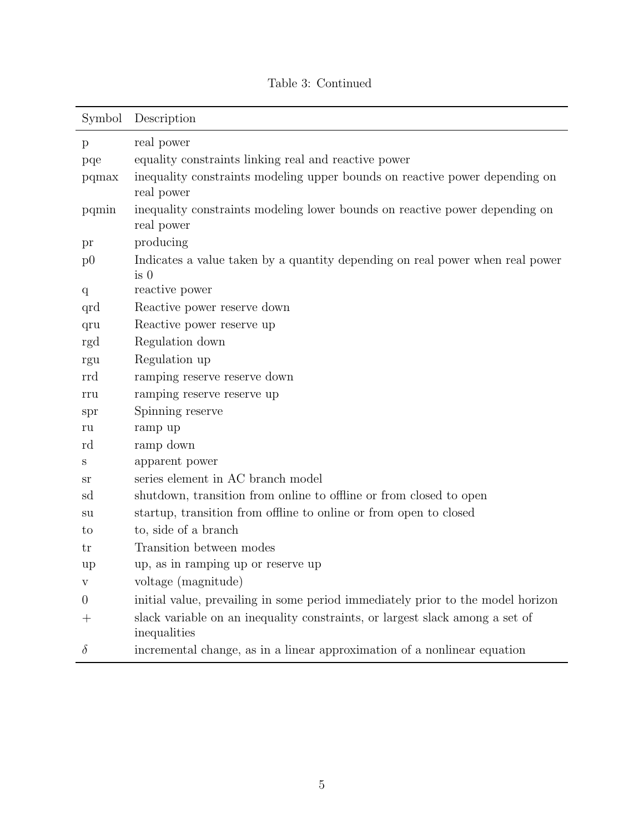| Symbol           | Description                                                                                      |
|------------------|--------------------------------------------------------------------------------------------------|
| $\mathbf{p}$     | real power                                                                                       |
| pqe              | equality constraints linking real and reactive power                                             |
| pqmax            | inequality constraints modeling upper bounds on reactive power depending on<br>real power        |
| pqmin            | inequality constraints modeling lower bounds on reactive power depending on<br>real power        |
| pr               | producing                                                                                        |
| p <sub>0</sub>   | Indicates a value taken by a quantity depending on real power when real power<br>is <sub>0</sub> |
| q                | reactive power                                                                                   |
| qrd              | Reactive power reserve down                                                                      |
| qru              | Reactive power reserve up                                                                        |
| rgd              | Regulation down                                                                                  |
| rgu              | Regulation up                                                                                    |
| rrd              | ramping reserve reserve down                                                                     |
| rru              | ramping reserve reserve up                                                                       |
| spr              | Spinning reserve                                                                                 |
| ru               | ramp up                                                                                          |
| rd               | ramp down                                                                                        |
| S                | apparent power                                                                                   |
| sr               | series element in AC branch model                                                                |
| sd               | shutdown, transition from online to offline or from closed to open                               |
| su               | startup, transition from offline to online or from open to closed                                |
| to               | to, side of a branch                                                                             |
| tr               | Transition between modes                                                                         |
| up               | up, as in ramping up or reserve up                                                               |
| V                | voltage (magnitude)                                                                              |
| $\boldsymbol{0}$ | initial value, prevailing in some period immediately prior to the model horizon                  |
| $^{+}$           | slack variable on an inequality constraints, or largest slack among a set of<br>inequalities     |
| $\delta$         | incremental change, as in a linear approximation of a nonlinear equation                         |

## Table 3: Continued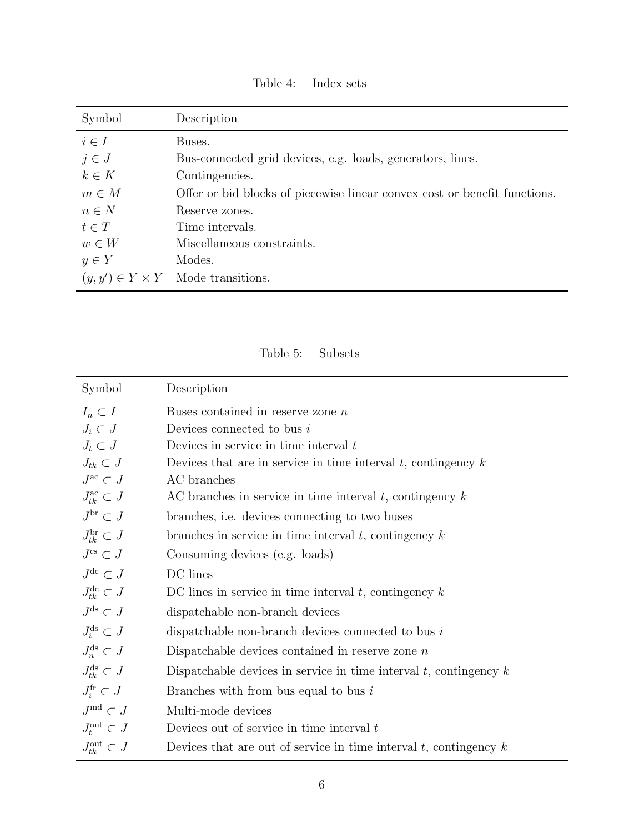<span id="page-5-0"></span>

| Symbol    | Description                                                               |
|-----------|---------------------------------------------------------------------------|
| $i \in I$ | Buses.                                                                    |
| $j \in J$ | Bus-connected grid devices, e.g. loads, generators, lines.                |
| $k \in K$ | Contingencies.                                                            |
| $m \in M$ | Offer or bid blocks of piecewise linear convex cost or benefit functions. |
| $n \in N$ | Reserve zones.                                                            |
| $t \in T$ | Time intervals.                                                           |
| $w \in W$ | Miscellaneous constraints.                                                |
| $y \in Y$ | Modes.                                                                    |
|           | $(y, y') \in Y \times Y$ Mode transitions.                                |

Table 4: Index sets

Table 5: Subsets

<span id="page-5-1"></span>

| Symbol                           | Description                                                            |
|----------------------------------|------------------------------------------------------------------------|
| $I_n \subset I$                  | Buses contained in reserve zone $n$                                    |
| $J_i \subset J$                  | Devices connected to bus $i$                                           |
| $J_t \subset J$                  | Devices in service in time interval $t$                                |
| $J_{tk} \subset J$               | Devices that are in service in time interval $t$ , contingency $k$     |
| $J^{\mathrm{ac}} \subset J$      | AC branches                                                            |
| $J_{tk}^{\text{ac}} \subset J$   | AC branches in service in time interval $t$ , contingency $k$          |
| $J^{\text{br}} \subset J$        | branches, <i>i.e.</i> devices connecting to two buses                  |
| $J_{tk}^{\text{br}} \subset J$   | branches in service in time interval $t$ , contingency $k$             |
| $J^{\text{cs}} \subset J$        | Consuming devices (e.g. loads)                                         |
| $J^{\text{dc}} \subset J$        | DC lines                                                               |
| $J_{tk}^{\mathrm{dc}} \subset J$ | DC lines in service in time interval $t$ , contingency $k$             |
| $J^{\text{ds}} \subset J$        | dispatchable non-branch devices                                        |
| $J_i^{\text{ds}} \subset J$      | dispatchable non-branch devices connected to bus $i$                   |
| $J_n^{\text{ds}} \subset J$      | Dispatchable devices contained in reserve zone $n$                     |
| $J_{tk}^{\text{ds}} \subset J$   | Dispatchable devices in service in time interval $t$ , contingency $k$ |
| $J_i^{\text{fr}} \subset J$      | Branches with from bus equal to bus $i$                                |
| $J^{\text{md}} \subset J$        | Multi-mode devices                                                     |
| $J_t^{\text{out}} \subset J$     | Devices out of service in time interval $t$                            |
| $J_{tk}^{\text{out}} \subset J$  | Devices that are out of service in time interval $t$ , contingency $k$ |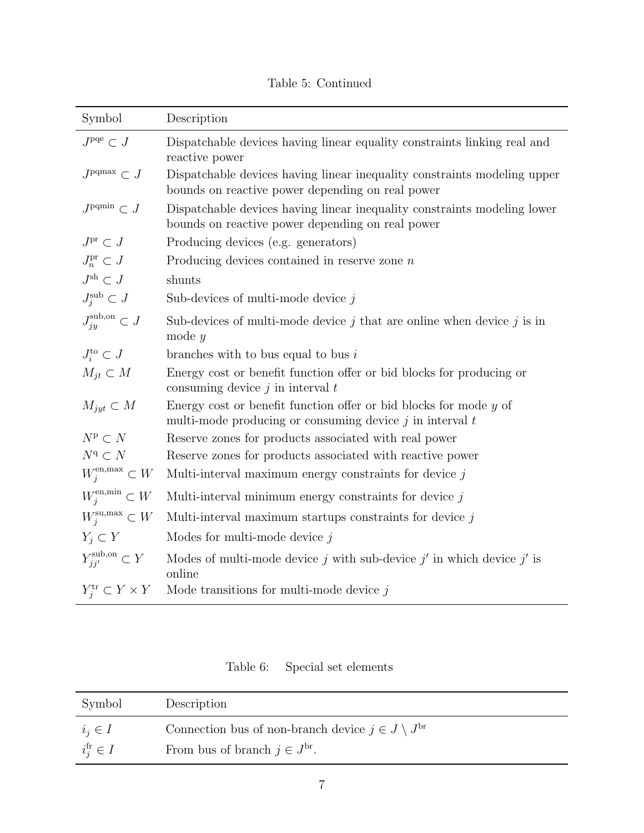Table 5: Continued

| Symbol                                       | Description                                                                                                                         |
|----------------------------------------------|-------------------------------------------------------------------------------------------------------------------------------------|
| $J^{\rm pqe} \subset J$                      | Dispatchable devices having linear equality constraints linking real and<br>reactive power                                          |
| $J^{\text{pqmax}} \subset J$                 | Dispatchable devices having linear inequality constraints modeling upper<br>bounds on reactive power depending on real power        |
| $J^{\text{pqmin}} \subset J$                 | Dispatchable devices having linear inequality constraints modeling lower<br>bounds on reactive power depending on real power        |
| $J^\mathrm{pr} \subset J$                    | Producing devices (e.g. generators)                                                                                                 |
| $J_n^{\text{pr}} \subset J$                  | Producing devices contained in reserve zone $n$                                                                                     |
| $J^\mathrm{sh} \subset J$                    | shunts                                                                                                                              |
| $J_j^{\text{sub}} \subset J$                 | Sub-devices of multi-mode device $j$                                                                                                |
| $J_{jy}^{\mathrm{sub},\mathrm{on}}\subset J$ | Sub-devices of multi-mode device $j$ that are online when device $j$ is in<br>mode $y$                                              |
| $J_i^{\rm to} \subset J$                     | branches with to bus equal to bus $i$                                                                                               |
| $M_{jt} \subset M$                           | Energy cost or benefit function offer or bid blocks for producing or<br>consuming device $j$ in interval $t$                        |
| $M_{jyt} \subset M$                          | Energy cost or benefit function offer or bid blocks for mode $y$ of<br>multi-mode producing or consuming device $j$ in interval $t$ |
| $N^{\text{p}}\subset N$                      | Reserve zones for products associated with real power                                                                               |
| $N^{\mathrm{q}}\subset N$                    | Reserve zones for products associated with reactive power                                                                           |
| $W^{\mathrm{en,max}}_i \subset W$            | Multi-interval maximum energy constraints for device $j$                                                                            |
| $W_j^{\text{en,min}} \subset W$              | Multi-interval minimum energy constraints for device $j$                                                                            |
| $W_i^{\text{su,max}} \subset W$              | Multi-interval maximum startups constraints for device $j$                                                                          |
| $Y_j \subset Y$                              | Modes for multi-mode device $j$                                                                                                     |
| $Y_{jj'}^{\text{sub},\text{on}} \subset Y$   | Modes of multi-mode device j with sub-device j' in which device j' is<br>online                                                     |
| $Y_i^{\text{tr}} \subset Y \times Y$         | Mode transitions for multi-mode device $j$                                                                                          |

Table 6: Special set elements

<span id="page-6-0"></span>

| Symbol                  | Description                                                    |
|-------------------------|----------------------------------------------------------------|
| $i_j \in I$             | Connection bus of non-branch device $j \in J \setminus J^{br}$ |
| $i_j^{\text{fr}} \in I$ | From bus of branch $j \in J^{br}$ .                            |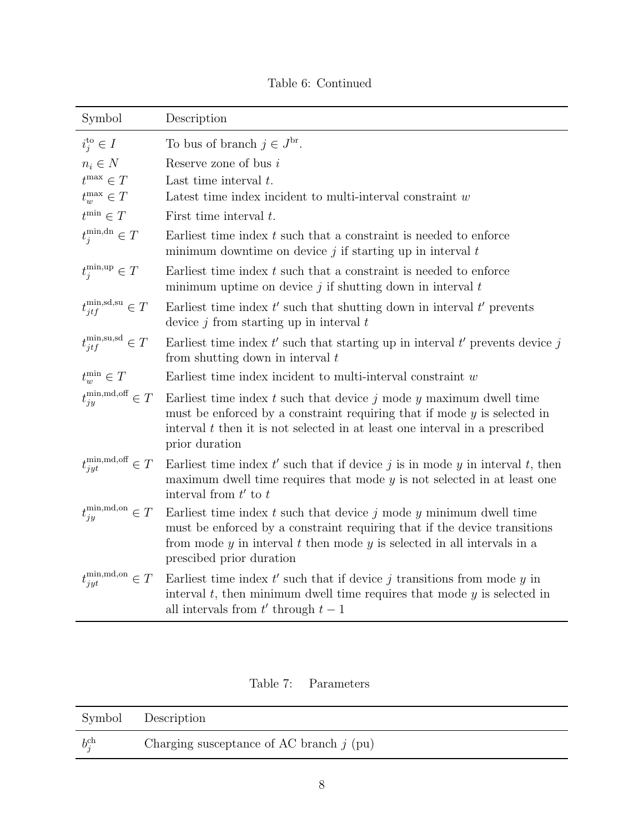| Symbol                                               | Description                                                                                                                                                                                                                                                        |
|------------------------------------------------------|--------------------------------------------------------------------------------------------------------------------------------------------------------------------------------------------------------------------------------------------------------------------|
| $i_j^{\text{to}} \in I$                              | To bus of branch $j \in J^{\text{br}}$ .                                                                                                                                                                                                                           |
| $n_i \in N$                                          | Reserve zone of bus $i$                                                                                                                                                                                                                                            |
| $t^{\max}\in T$                                      | Last time interval $t$ .                                                                                                                                                                                                                                           |
| $t_w^{\max}\in T$                                    | Latest time index incident to multi-interval constraint $w$                                                                                                                                                                                                        |
| $t^{\min} \in T$                                     | First time interval $t$ .                                                                                                                                                                                                                                          |
| $t_j^{\min, dn} \in T$                               | Earliest time index $t$ such that a constraint is needed to enforce<br>minimum downtime on device $j$ if starting up in interval $t$                                                                                                                               |
| $t_i^{\min, \text{up}} \in T$                        | Earliest time index $t$ such that a constraint is needed to enforce<br>minimum uptime on device $j$ if shutting down in interval $t$                                                                                                                               |
| $t_{jtf}^{\min, \text{sd}, \text{su}} \in T$         | Earliest time index $t'$ such that shutting down in interval $t'$ prevents<br>device $j$ from starting up in interval $t$                                                                                                                                          |
| $t_{j t f}^{\text{min}, \text{su}, \text{sd}} \in T$ | Earliest time index $t'$ such that starting up in interval $t'$ prevents device j<br>from shutting down in interval $t$                                                                                                                                            |
| $t_{w}^{\min} \in T$                                 | Earliest time index incident to multi-interval constraint $w$                                                                                                                                                                                                      |
| $t_{jy}^{\text{min,md,off}} \in T$                   | Earliest time index $t$ such that device $j$ mode $y$ maximum dwell time<br>must be enforced by a constraint requiring that if mode $y$ is selected in<br>interval $t$ then it is not selected in at least one interval in a prescribed<br>prior duration          |
| $t_{jyt}^{\text{min,md,off}} \in T$                  | Earliest time index $t'$ such that if device j is in mode y in interval t, then<br>maximum dwell time requires that mode $y$ is not selected in at least one<br>interval from $t'$ to $t$                                                                          |
| $t_{jy}^{\min, \text{md}, \text{on}} \in T$          | Earliest time index $t$ such that device $j$ mode $y$ minimum dwell time<br>must be enforced by a constraint requiring that if the device transitions<br>from mode $y$ in interval $t$ then mode $y$ is selected in all intervals in a<br>prescibed prior duration |
| $t_{jyt}^{\text{min,md,on}} \in T$                   | Earliest time index $t'$ such that if device j transitions from mode y in<br>interval $t$ , then minimum dwell time requires that mode $y$ is selected in<br>all intervals from $t'$ through $t-1$                                                                 |

Table 6: Continued

Table 7: Parameters

<span id="page-7-0"></span>

|                   | Symbol Description                         |
|-------------------|--------------------------------------------|
| $b_i^{\text{ch}}$ | Charging susceptance of AC branch $j$ (pu) |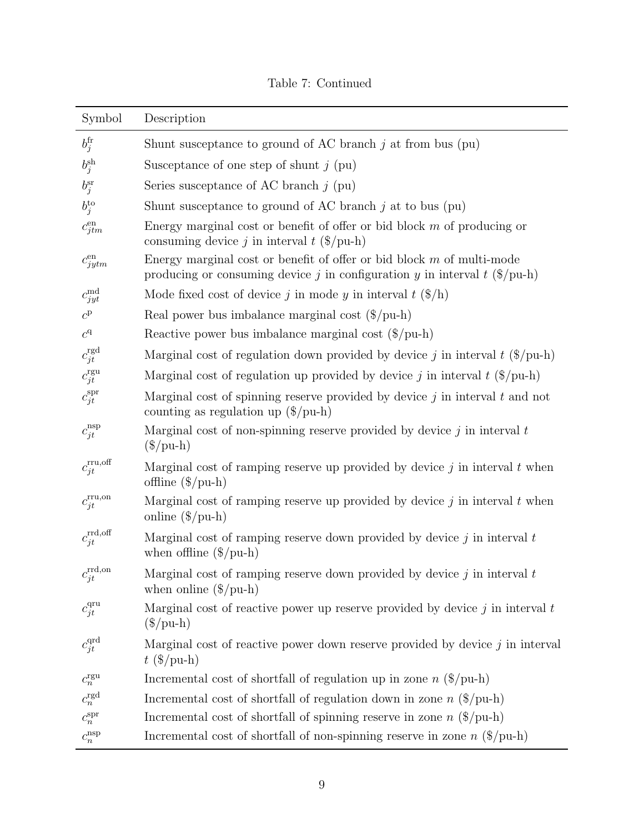| Symbol                                                      | Description                                                                                                                                                       |
|-------------------------------------------------------------|-------------------------------------------------------------------------------------------------------------------------------------------------------------------|
| $b_j^{\text{fr}}$                                           | Shunt susceptance to ground of AC branch $j$ at from bus (pu)                                                                                                     |
| $b_j^{\text{sh}}$                                           | Susceptance of one step of shunt $j$ (pu)                                                                                                                         |
| $b_i^{\rm sr}$                                              | Series susceptance of AC branch $j$ (pu)                                                                                                                          |
| $b_j^{\text{to}}$                                           | Shunt susceptance to ground of AC branch $j$ at to bus (pu)                                                                                                       |
| $c_{jtm}^{\rm en}$                                          | Energy marginal cost or benefit of offer or bid block $m$ of producing or<br>consuming device j in interval $t$ (\$/pu-h)                                         |
| $c_{jytm}^{\rm en}$                                         | Energy marginal cost or benefit of offer or bid block $m$ of multi-mode<br>producing or consuming device j in configuration y in interval t $(\frac{1}{2}$ /pu-h) |
| $c_{jyt}^{\mathrm{md}}$                                     | Mode fixed cost of device j in mode y in interval $t$ (\$/h)                                                                                                      |
| $c^{\rm p}$                                                 | Real power bus imbalance marginal cost $(\frac{1}{2})$ pu-h)                                                                                                      |
| $\ensuremath{\mathnormal{c}}^{\ensuremath{\mathnormal{q}}}$ | Reactive power bus imbalance marginal cost $(\frac{1}{2}$ /pu-h)                                                                                                  |
| $c_{jt}^{\text{rgd}}$                                       | Marginal cost of regulation down provided by device j in interval $t$ (\$/pu-h)                                                                                   |
| $c_{jt}^{\text{rgu}}$                                       | Marginal cost of regulation up provided by device j in interval $t$ (\$/pu-h)                                                                                     |
| $c_{jt}^{\text{spr}}$                                       | Marginal cost of spinning reserve provided by device $j$ in interval $t$ and not<br>counting as regulation up $(\frac{2}{p}$ u-h                                  |
| $c_{jt}^{\rm nsp}$                                          | Marginal cost of non-spinning reserve provided by device $j$ in interval $t$<br>$(\$/\text{pu-h})$                                                                |
| $c^{\rm rru, off}_{jt}$                                     | Marginal cost of ramping reserve up provided by device $j$ in interval $t$ when<br>offline $(\frac{\pi}{6})$ pu-h)                                                |
| $c_{jt}^{\text{rru,on}}$                                    | Marginal cost of ramping reserve up provided by device $j$ in interval $t$ when<br>online $(\frac{\pi}{6})$ pu-h)                                                 |
| $c_{jt}^{\rm rrd, off}$                                     | Marginal cost of ramping reserve down provided by device $j$ in interval $t$<br>when offline $(\frac{2}{\pi})$                                                    |
| rrd,on<br>$c_{jt}$                                          | Marginal cost of ramping reserve down provided by device $j$ in interval $t$<br>when online $(\frac{6}{p}u-h)$                                                    |
| $c_{jt}^{\text{qru}}$                                       | Marginal cost of reactive power up reserve provided by device $j$ in interval $t$<br>$(\$/\text{pu-h})$                                                           |
| $c_{jt}^{\text{qrd}}$                                       | Marginal cost of reactive power down reserve provided by device $j$ in interval<br>$t$ (\$/pu-h)                                                                  |
| $c_n^{\text{rgu}}$                                          | Incremental cost of shortfall of regulation up in zone $n$ (\$/pu-h)                                                                                              |
| $c_n^{\text{rgd}}$                                          | Incremental cost of shortfall of regulation down in zone $n$ (\$/pu-h)                                                                                            |
| $c_n^{\rm spr}$                                             | Incremental cost of shortfall of spinning reserve in zone $n$ (\$/pu-h)                                                                                           |
| $c_n^{\rm nsp}$                                             | Incremental cost of shortfall of non-spinning reserve in zone $n$ (\$/pu-h)                                                                                       |

Table 7: Continued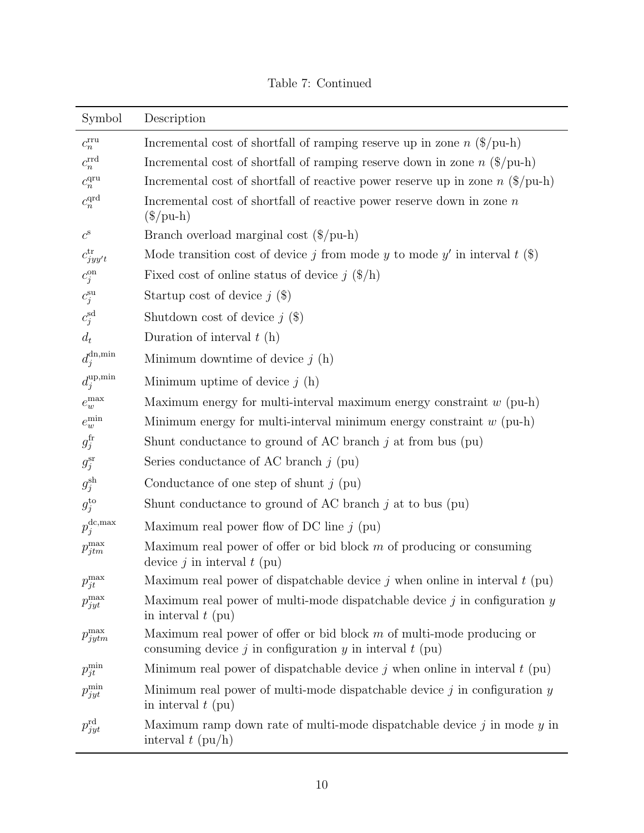|  | Table 7: Continued |
|--|--------------------|
|--|--------------------|

| Symbol                             | Description                                                                                                                               |
|------------------------------------|-------------------------------------------------------------------------------------------------------------------------------------------|
| $c_n^{\rm rru}$                    | Incremental cost of shortfall of ramping reserve up in zone $n$ (\$/pu-h)                                                                 |
| $c_n^{\rm rrd}$                    | Incremental cost of shortfall of ramping reserve down in zone $n$ (\$/pu-h)                                                               |
| $c_n^{\rm{qu}}$                    | Incremental cost of shortfall of reactive power reserve up in zone $n$ (\$/pu-h)                                                          |
| $c_n^{\rm qrd}$                    | Incremental cost of shortfall of reactive power reserve down in zone $n$<br>$(\$/\text{pu-h})$                                            |
| $c^{\rm s}$                        | Branch overload marginal cost $(\frac{1}{2}$ /pu-h)                                                                                       |
| $c_{jyy't}^{\rm tr}$               | Mode transition cost of device j from mode y to mode y' in interval t $(\$)$                                                              |
| $c_j^{\text{on}}$                  | Fixed cost of online status of device $j$ (\$/h)                                                                                          |
| $c_j^{\rm su}$                     | Startup cost of device $j$ (\$)                                                                                                           |
| $c_j^{\rm sd}$                     | Shutdown cost of device $j$ (\$)                                                                                                          |
| $d_t$                              | Duration of interval $t(h)$                                                                                                               |
| $d_j^{\text{dn,min}}$              | Minimum downtime of device $j(h)$                                                                                                         |
| $d_j^{\text{up,min}}$              | Minimum uptime of device $j(h)$                                                                                                           |
| $e_{w}^{\max}$                     | Maximum energy for multi-interval maximum energy constraint $w$ (pu-h)                                                                    |
| $e_w^{\rm min}$                    | Minimum energy for multi-interval minimum energy constraint $w$ (pu-h)                                                                    |
| $g_j^{\text{fr}}$                  | Shunt conductance to ground of AC branch $j$ at from bus (pu)                                                                             |
| $g_j^{\rm sr}$                     | Series conductance of AC branch $j$ (pu)                                                                                                  |
| $g_j^{\text{sh}}$                  | Conductance of one step of shunt $j$ (pu)                                                                                                 |
| $g_j^{\rm to}$                     | Shunt conductance to ground of AC branch $j$ at to bus (pu)                                                                               |
| $p_{j}^{\mathrm{dc},\mathrm{max}}$ | Maximum real power flow of DC line $j$ (pu)                                                                                               |
| $p_{jtm}^{\max}$                   | Maximum real power of offer or bid block $m$ of producing or consuming<br>device $j$ in interval $t$ (pu)                                 |
| $p_{jt}^{\max}$                    | Maximum real power of dispatchable device $j$ when online in interval $t$ (pu)                                                            |
| $p_{jyt}^{\max}$                   | Maximum real power of multi-mode dispatchable device $j$ in configuration $y$<br>in interval $t$ (pu)                                     |
| $p_{jytm}^{\max}$                  | Maximum real power of offer or bid block $m$ of multi-mode producing or<br>consuming device $j$ in configuration $y$ in interval $t$ (pu) |
| $p_{jt}^{\min}$                    | Minimum real power of dispatchable device $j$ when online in interval $t$ (pu)                                                            |
| $p_{jyt}^{\min}$                   | Minimum real power of multi-mode dispatchable device $j$ in configuration $y$<br>in interval $t$ (pu)                                     |
| $p_{jyt}^{\rm rd}$                 | Maximum ramp down rate of multi-mode dispatchable device $j$ in mode $y$ in<br>interval $t$ (pu/h)                                        |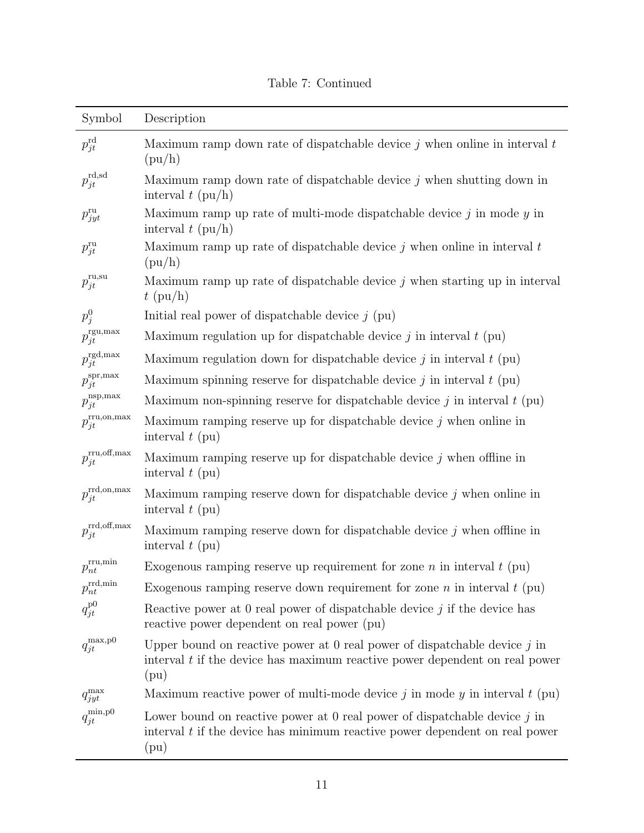|  | Table 7: Continued |
|--|--------------------|
|--|--------------------|

| Symbol                               | Description                                                                                                                                                            |
|--------------------------------------|------------------------------------------------------------------------------------------------------------------------------------------------------------------------|
| $p_{jt}^{\rm rd}$                    | Maximum ramp down rate of dispatchable device $j$ when online in interval $t$<br>$(\text{pu/h})$                                                                       |
| $p_{jt}^{\rm rd,sd}$                 | Maximum ramp down rate of dispatchable device $j$ when shutting down in<br>interval $t$ (pu/h)                                                                         |
| $p_{jyt}^{\rm ru}$                   | Maximum ramp up rate of multi-mode dispatchable device $j$ in mode $y$ in<br>interval $t$ (pu/h)                                                                       |
| $p_{jt}^{\rm ru}$                    | Maximum ramp up rate of dispatchable device $j$ when online in interval $t$<br>(pu/h)                                                                                  |
| $p_{jt}^{\mathrm{ru},{\mathrm{su}}}$ | Maximum ramp up rate of dispatchable device $j$ when starting up in interval<br>$t$ (pu/h)                                                                             |
| $p_j^0$                              | Initial real power of dispatchable device $j$ (pu)                                                                                                                     |
| $p_{jt}^{\text{rgu,max}}$            | Maximum regulation up for dispatchable device $j$ in interval $t$ (pu)                                                                                                 |
| $p_{jt}^{\rm rgd, max}$              | Maximum regulation down for dispatchable device $j$ in interval $t$ (pu)                                                                                               |
| $p_{jt}^{\rm spr, max}$              | Maximum spinning reserve for dispatchable device $j$ in interval $t$ (pu)                                                                                              |
| $p_{jt}^{\rm nsp, max}$              | Maximum non-spinning reserve for dispatchable device $j$ in interval $t$ (pu)                                                                                          |
| $p_{jt}^{\rm rru, on, max}$          | Maximum ramping reserve up for dispatchable device $j$ when online in<br>interval $t$ (pu)                                                                             |
| $p_{jt}^{\rm rru, off, max}$         | Maximum ramping reserve up for dispatchable device $j$ when offline in<br>interval $t$ (pu)                                                                            |
| $p_{jt}^{\rm rrd, on, max}$          | Maximum ramping reserve down for dispatchable device $j$ when online in<br>interval $t$ (pu)                                                                           |
| $p_{jt}^{\rm rrd, off, max}$         | Maximum ramping reserve down for dispatchable device $j$ when offline in<br>interval $t$ (pu)                                                                          |
| $p_{nt}^{\rm rru,min}$               | Exogenous ramping reserve up requirement for zone $n$ in interval $t$ (pu)                                                                                             |
| $p_{nt}^{\rm rrd,min}$               | Exogenous ramping reserve down requirement for zone n in interval $t$ (pu)                                                                                             |
| $q_{jt}^{\rm p0}$                    | Reactive power at 0 real power of dispatchable device $j$ if the device has<br>reactive power dependent on real power (pu)                                             |
| $q_{jt}^{\max,p0}$                   | Upper bound on reactive power at 0 real power of dispatchable device $j$ in<br>interval $t$ if the device has maximum reactive power dependent on real power<br>(pu)   |
| $q_{jyt}^{\max}$                     | Maximum reactive power of multi-mode device $j$ in mode $y$ in interval $t$ (pu)                                                                                       |
| $q_{jt}^{\rm min,p0}$                | Lower bound on reactive power at $0$ real power of dispatchable device $j$ in<br>interval $t$ if the device has minimum reactive power dependent on real power<br>(pu) |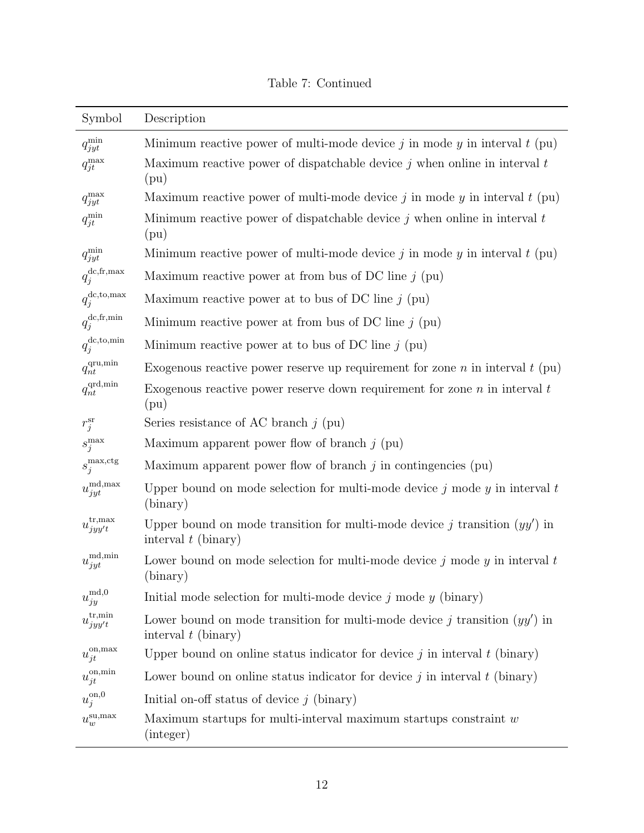|  |  | Table 7: Continued |
|--|--|--------------------|
|--|--|--------------------|

| Symbol                                         | Description                                                                                           |
|------------------------------------------------|-------------------------------------------------------------------------------------------------------|
| $q_{jyt}^{\min}$                               | Minimum reactive power of multi-mode device $j$ in mode $y$ in interval $t$ (pu)                      |
| $q_{jt}^{\max}$                                | Maximum reactive power of dispatchable device $j$ when online in interval $t$<br>(pu)                 |
| $q_{jyt}^{\max}$                               | Maximum reactive power of multi-mode device j in mode $y$ in interval $t$ (pu)                        |
| $q_{jt}^{\min}$                                | Minimum reactive power of dispatchable device $j$ when online in interval $t$<br>(pu)                 |
| $q_{jyt}^{\min}$                               | Minimum reactive power of multi-mode device j in mode $y$ in interval $t$ (pu)                        |
| $q_j^{\text{dc},\text{fr},\text{max}}$         | Maximum reactive power at from bus of DC line $j$ (pu)                                                |
| $q_j^{\text{dc},\text{to,max}}$                | Maximum reactive power at to bus of DC line $j$ (pu)                                                  |
| $q_{j}^{\mathrm{dc},\mathrm{fr},\mathrm{min}}$ | Minimum reactive power at from bus of DC line $j$ (pu)                                                |
| $q_j^{\text{dc},\text{to,min}}$                | Minimum reactive power at to bus of DC line $j$ (pu)                                                  |
| $q_{nt}^{\text{qru},\text{min}}$               | Exogenous reactive power reserve up requirement for zone <i>n</i> in interval $t$ (pu)                |
| $q_{nt}^{\text{qrd,min}}$                      | Exogenous reactive power reserve down requirement for zone $n$ in interval $t$<br>(pu)                |
| $r_j^{\rm sr}$                                 | Series resistance of AC branch $j$ (pu)                                                               |
| $s_j^{\max}$                                   | Maximum apparent power flow of branch $j$ (pu)                                                        |
| $s_j^{\text{max,ctg}}$                         | Maximum apparent power flow of branch $j$ in contingencies (pu)                                       |
| $u_{jyt}^{\mathrm{md},\mathrm{max}}$           | Upper bound on mode selection for multi-mode device $j$ mode $y$ in interval $t$<br>(binary)          |
| $u_{jyy't}^{\rm tr, max}$                      | Upper bound on mode transition for multi-mode device j transition $(yy')$ in<br>interval $t$ (binary) |
| $u_{jyt}^{\mathrm{md},\mathrm{min}}$           | Lower bound on mode selection for multi-mode device $j$ mode $y$ in interval $t$<br>(binary)          |
| $u_{jy}^{\mathrm{md},0}$                       | Initial mode selection for multi-mode device $j$ mode $y$ (binary)                                    |
| $u^{\rm tr,min}_{jyy't}$                       | Lower bound on mode transition for multi-mode device j transition $(yy')$ in<br>interval $t$ (binary) |
| $u_{jt}^{\text{on,max}}$                       | Upper bound on online status indicator for device $j$ in interval $t$ (binary)                        |
| $u_{jt}^{\text{on,min}}$                       | Lower bound on online status indicator for device $j$ in interval $t$ (binary)                        |
| $u_j^{\text{on},0}$                            | Initial on-off status of device $j$ (binary)                                                          |
| $u_{w}^{\mathrm{su},\mathrm{max}}$             | Maximum startups for multi-interval maximum startups constraint $w$<br>(integer)                      |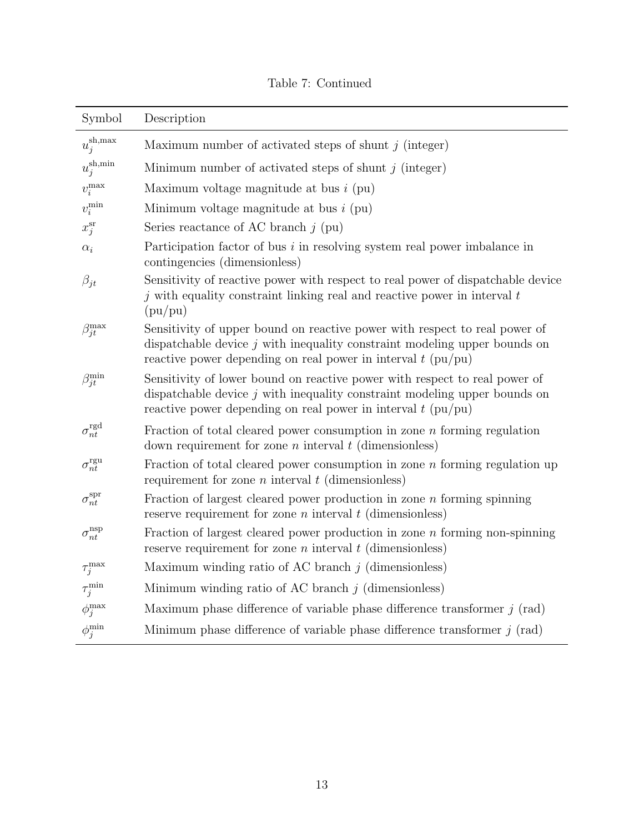|  |  | Table 7: Continued |
|--|--|--------------------|
|--|--|--------------------|

| Symbol                     | Description                                                                                                                                                                                                                 |
|----------------------------|-----------------------------------------------------------------------------------------------------------------------------------------------------------------------------------------------------------------------------|
| $u_j^{\text{sh,max}}$      | Maximum number of activated steps of shunt $j$ (integer)                                                                                                                                                                    |
| $u_j^{\mathrm{sh},\min}$   | Minimum number of activated steps of shunt $j$ (integer)                                                                                                                                                                    |
| $v_i^{\mathrm{max}}$       | Maximum voltage magnitude at bus $i$ (pu)                                                                                                                                                                                   |
| $v_i^{\rm min}$            | Minimum voltage magnitude at bus $i$ (pu)                                                                                                                                                                                   |
| $x_j^{\rm sr}$             | Series reactance of AC branch $j$ (pu)                                                                                                                                                                                      |
| $\alpha_i$                 | Participation factor of bus $i$ in resolving system real power imbalance in<br>contingencies (dimensionless)                                                                                                                |
| $\beta_{jt}$               | Sensitivity of reactive power with respect to real power of dispatchable device<br>$j$ with equality constraint linking real and reactive power in interval $t$<br>(pu/pu)                                                  |
| $\beta_{jt}^{\max}$        | Sensitivity of upper bound on reactive power with respect to real power of<br>dispatchable device $j$ with inequality constraint modeling upper bounds on<br>reactive power depending on real power in interval $t$ (pu/pu) |
| $\beta_{jt}^{\min}$        | Sensitivity of lower bound on reactive power with respect to real power of<br>dispatchable device $j$ with inequality constraint modeling upper bounds on<br>reactive power depending on real power in interval $t$ (pu/pu) |
| $\sigma_{nt}^{\rm rgd}$    | Fraction of total cleared power consumption in zone $n$ forming regulation<br>down requirement for zone $n$ interval $t$ (dimensionless)                                                                                    |
| $\sigma_{nt}^{\rm rgu}$    | Fraction of total cleared power consumption in zone $n$ forming regulation up<br>requirement for zone $n$ interval $t$ (dimensionless)                                                                                      |
| $\sigma_{nt}^{\text{spr}}$ | Fraction of largest cleared power production in zone $n$ forming spinning<br>reserve requirement for zone $n$ interval $t$ (dimensionless)                                                                                  |
| $\sigma_{nt}^{\rm nsp}$    | Fraction of largest cleared power production in zone $n$ forming non-spinning<br>reserve requirement for zone $n$ interval $t$ (dimensionless)                                                                              |
| $\tau_j^{\text{max}}$      | Maximum winding ratio of AC branch $j$ (dimensionless)                                                                                                                                                                      |
| $\tau_j^{\min}$            | Minimum winding ratio of AC branch $j$ (dimensionless)                                                                                                                                                                      |
| $\phi^{\text{max}}_j$      | Maximum phase difference of variable phase difference transformer $j$ (rad)                                                                                                                                                 |
| $\phi_j^{\min}$            | Minimum phase difference of variable phase difference transformer $j$ (rad)                                                                                                                                                 |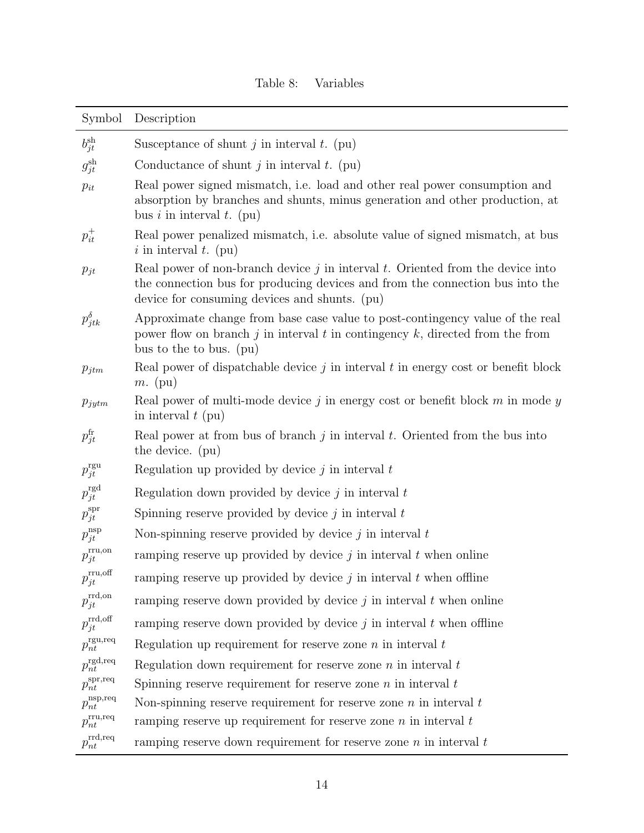<span id="page-13-0"></span>

| Symbol                           | Description                                                                                                                                                                                                           |
|----------------------------------|-----------------------------------------------------------------------------------------------------------------------------------------------------------------------------------------------------------------------|
| $b_{jt}^{\text{sh}}$             | Susceptance of shunt $j$ in interval $t$ . (pu)                                                                                                                                                                       |
| $g_{jt}^{\text{sh}}$             | Conductance of shunt $j$ in interval $t$ . (pu)                                                                                                                                                                       |
| $p_{it}$                         | Real power signed mismatch, i.e. load and other real power consumption and<br>absorption by branches and shunts, minus generation and other production, at<br>bus i in interval t. (pu)                               |
| $p_{it}^+$                       | Real power penalized mismatch, i.e. absolute value of signed mismatch, at bus<br>i in interval t. (pu)                                                                                                                |
| $p_{jt}$                         | Real power of non-branch device $j$ in interval $t$ . Oriented from the device into<br>the connection bus for producing devices and from the connection bus into the<br>device for consuming devices and shunts. (pu) |
| $p_{jtk}^{\delta}$               | Approximate change from base case value to post-contingency value of the real<br>power flow on branch j in interval t in contingency $k$ , directed from the from<br>bus to the to bus. (pu)                          |
| $p_{jtm}$                        | Real power of dispatchable device $j$ in interval $t$ in energy cost or benefit block<br>$m.$ (pu)                                                                                                                    |
| $p_{jytm}$                       | Real power of multi-mode device $j$ in energy cost or benefit block $m$ in mode $y$<br>in interval $t$ (pu)                                                                                                           |
| $p_{jt}^{\rm fr}$                | Real power at from bus of branch $j$ in interval $t$ . Oriented from the bus into<br>the device. (pu)                                                                                                                 |
| $p_{jt}^{\text{rgu}}$            | Regulation up provided by device $j$ in interval $t$                                                                                                                                                                  |
| $p_{jt}^{\rm rgd}$               | Regulation down provided by device $j$ in interval $t$                                                                                                                                                                |
| $p_{jt}^{\rm spr}$               | Spinning reserve provided by device $j$ in interval $t$                                                                                                                                                               |
| $p_{jt}^{\rm nsp}$               | Non-spinning reserve provided by device $j$ in interval $t$                                                                                                                                                           |
| $p_{jt}^{\rm{rru,on}}$           | ramping reserve up provided by device $j$ in interval $t$ when online                                                                                                                                                 |
| $p_{jt}^{\rm{rru,off}}$          | ramping reserve up provided by device $j$ in interval $t$ when offline                                                                                                                                                |
| $p_{jt}^{\rm rrd, on}$           | ramping reserve down provided by device $j$ in interval $t$ when online                                                                                                                                               |
| $p_{jt}^{\rm rrd, off}$          | ramping reserve down provided by device $j$ in interval $t$ when offline                                                                                                                                              |
| $p_{nt}^{\text{rgu,req}}$        | Regulation up requirement for reserve zone $n$ in interval $t$                                                                                                                                                        |
| $p_{nt}^{\text{rgd,req}}$        | Regulation down requirement for reserve zone $n$ in interval $t$                                                                                                                                                      |
| $p_{nt}^{\text{spr,req}}$        | Spinning reserve requirement for reserve zone $n$ in interval $t$                                                                                                                                                     |
| $p_{nt}^{\text{nsp},\text{req}}$ | Non-spinning reserve requirement for reserve zone $n$ in interval $t$                                                                                                                                                 |
| $p_{nt}^{\rm{tru,req}}$          | ramping reserve up requirement for reserve zone $n$ in interval $t$                                                                                                                                                   |
| $p_{nt}^{\text{rrd,req}}$        | ramping reserve down requirement for reserve zone $n$ in interval $t$                                                                                                                                                 |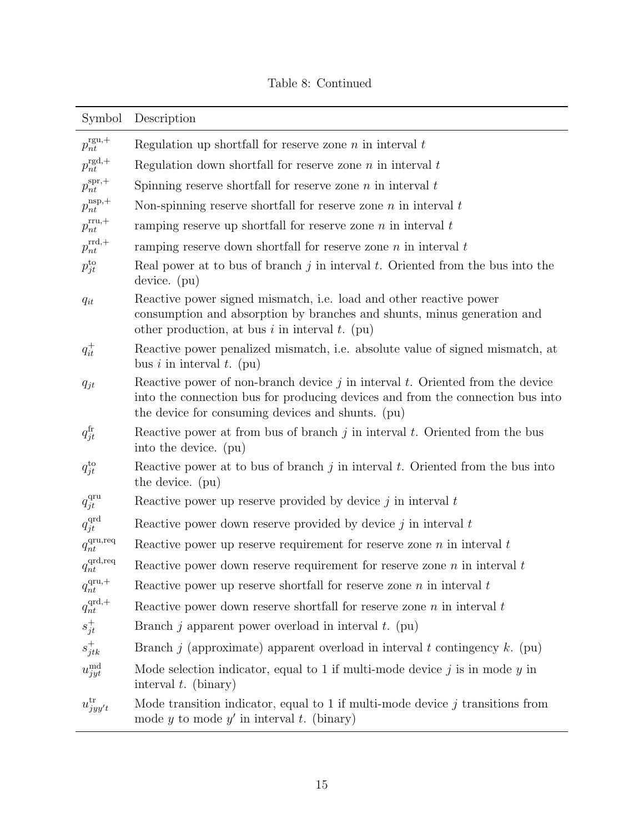## Table 8: Continued

| Symbol                    | Description                                                                                                                                                                                                               |
|---------------------------|---------------------------------------------------------------------------------------------------------------------------------------------------------------------------------------------------------------------------|
| $p_{nt}^{\text{rgu},+}$   | Regulation up shortfall for reserve zone $n$ in interval $t$                                                                                                                                                              |
| $p_{nt}^{\text{rgd},+}$   | Regulation down shortfall for reserve zone $n$ in interval $t$                                                                                                                                                            |
| $p_{nt}^{\text{spr},+}$   | Spinning reserve shortfall for reserve zone $n$ in interval $t$                                                                                                                                                           |
| $p_{nt}^{\rm nsp,+}$      | Non-spinning reserve shortfall for reserve zone $n$ in interval $t$                                                                                                                                                       |
| $p_{nt}^{\mathrm{rru},+}$ | ramping reserve up shortfall for reserve zone $n$ in interval $t$                                                                                                                                                         |
| $p_{nt}^{\rm rrd,+}$      | ramping reserve down shortfall for reserve zone $n$ in interval $t$                                                                                                                                                       |
| $p_{jt}^{to}$             | Real power at to bus of branch $j$ in interval $t$ . Oriented from the bus into the<br>device. (pu)                                                                                                                       |
| $q_{it}$                  | Reactive power signed mismatch, i.e. load and other reactive power<br>consumption and absorption by branches and shunts, minus generation and<br>other production, at bus i in interval t. (pu)                           |
| $q_{it}^+$                | Reactive power penalized mismatch, i.e. absolute value of signed mismatch, at<br>bus i in interval t. (pu)                                                                                                                |
| $q_{jt}$                  | Reactive power of non-branch device $j$ in interval $t$ . Oriented from the device<br>into the connection bus for producing devices and from the connection bus into<br>the device for consuming devices and shunts. (pu) |
| $q_{jt}^{\rm fr}$         | Reactive power at from bus of branch $j$ in interval $t$ . Oriented from the bus<br>into the device. (pu)                                                                                                                 |
| $q_{jt}^{to}$             | Reactive power at to bus of branch $j$ in interval $t$ . Oriented from the bus into<br>the device. (pu)                                                                                                                   |
| $q_{jt}^{\rm qru}$        | Reactive power up reserve provided by device $j$ in interval $t$                                                                                                                                                          |
| $q_{jt}^{\rm qrd}$        | Reactive power down reserve provided by device $j$ in interval $t$                                                                                                                                                        |
| $q_{nt}^{\rm qu,req}$     | Reactive power up reserve requirement for reserve zone $n$ in interval $t$                                                                                                                                                |
| $q_{nt}^{\text{qrd,req}}$ | Reactive power down reserve requirement for reserve zone $n$ in interval $t$                                                                                                                                              |
| $q_{nt}^{\text{qru},+}$   | Reactive power up reserve shortfall for reserve zone $n$ in interval $t$                                                                                                                                                  |
| $q_{nt}^{\text{qrd},+}$   | Reactive power down reserve shortfall for reserve zone $n$ in interval $t$                                                                                                                                                |
| $s_{jt}^+$                | Branch j apparent power overload in interval $t$ . (pu)                                                                                                                                                                   |
| $s_{jtk}^+$               | Branch <i>j</i> (approximate) apparent overload in interval <i>t</i> contingency $k$ . (pu)                                                                                                                               |
| $u_{jyt}^{\mathrm{md}}$   | Mode selection indicator, equal to 1 if multi-mode device $j$ is in mode $y$ in<br>interval $t$ . (binary)                                                                                                                |
| $u_{jyy't}^{\text{tr}}$   | Mode transition indicator, equal to 1 if multi-mode device $j$ transitions from<br>mode y to mode y' in interval t. (binary)                                                                                              |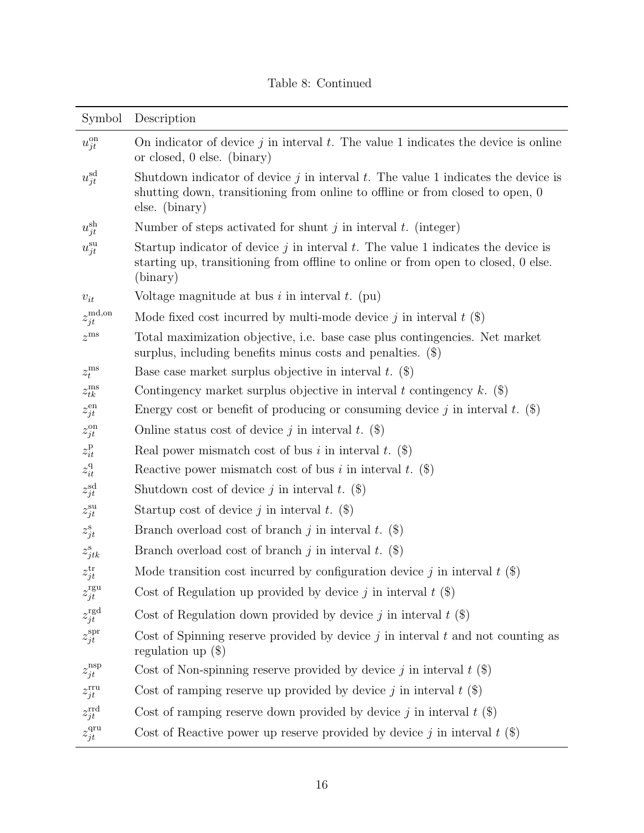## Table 8: Continued

| Symbol                  | Description                                                                                                                                                                               |
|-------------------------|-------------------------------------------------------------------------------------------------------------------------------------------------------------------------------------------|
| $u_{jt}^{\text{on}}$    | On indicator of device $j$ in interval $t$ . The value 1 indicates the device is online<br>or closed, 0 else. (binary)                                                                    |
| $u_{jt}^{\rm sd}$       | Shutdown indicator of device $j$ in interval $t$ . The value 1 indicates the device is<br>shutting down, transitioning from online to offline or from closed to open, 0<br>else. (binary) |
| $u_{jt}^{\text{sh}}$    | Number of steps activated for shunt $j$ in interval $t$ . (integer)                                                                                                                       |
| $u_{jt}^{\mathrm{su}}$  | Startup indicator of device $j$ in interval $t$ . The value 1 indicates the device is<br>starting up, transitioning from offline to online or from open to closed, 0 else.<br>(binary)    |
| $v_{it}$                | Voltage magnitude at bus $i$ in interval $t$ . (pu)                                                                                                                                       |
| $z_{jt}^{\text{md,on}}$ | Mode fixed cost incurred by multi-mode device j in interval $t$ (\$)                                                                                                                      |
| $z^{\rm ms}$            | Total maximization objective, i.e. base case plus contingencies. Net market<br>surplus, including benefits minus costs and penalties. $(\$)$                                              |
| $z_t^{\mathrm{ms}}$     | Base case market surplus objective in interval $t.$ (\$)                                                                                                                                  |
| $z_{tk}^{\rm ms}$       | Contingency market surplus objective in interval t contingency k. $(\$)$                                                                                                                  |
| $z_{jt}^{\mathrm{en}}$  | Energy cost or benefit of producing or consuming device j in interval t. $(\$)$                                                                                                           |
| $z_{jt}^{\rm on}$       | Online status cost of device j in interval t. $(\$)$                                                                                                                                      |
| $z^{\rm p}_{it}$        | Real power mismatch cost of bus i in interval t. $(\$)$                                                                                                                                   |
| $z^{\mathrm{q}}_{it}$   | Reactive power mismatch cost of bus i in interval t. $(\$)$                                                                                                                               |
| $z_{jt}^{\rm sd}$       | Shutdown cost of device j in interval t. $(\$)$                                                                                                                                           |
| $z_{jt}^{\rm su}$       | Startup cost of device j in interval t. $(\$)$                                                                                                                                            |
| $z_{jt}^{\rm s}$        | Branch overload cost of branch j in interval t. $(\$)$                                                                                                                                    |
| $z_{jtk}^{\rm s}$       | Branch overload cost of branch j in interval t. $(\$)$                                                                                                                                    |
| $z_{jt}^{\rm tr}$       | Mode transition cost incurred by configuration device j in interval $t$ (\$)                                                                                                              |
| $z_{jt}^{\text{rgu}}$   | Cost of Regulation up provided by device j in interval $t$ (\$)                                                                                                                           |
| $z_{jt}^{\rm rgd}$      | Cost of Regulation down provided by device j in interval $t$ (\$)                                                                                                                         |
| $z_{jt}^{\rm spr}$      | Cost of Spinning reserve provided by device $j$ in interval $t$ and not counting as<br>regulation up $(\$)$                                                                               |
| $z_{jt}^{\rm nsp}$      | Cost of Non-spinning reserve provided by device j in interval $t$ (\$)                                                                                                                    |
| $z_{jt}^{\rm rru}$      | Cost of ramping reserve up provided by device j in interval $t$ (\$)                                                                                                                      |
| $z_{jt}^{\rm rrd}$      | Cost of ramping reserve down provided by device j in interval $t$ (\$)                                                                                                                    |
| $z_{jt}^{\rm qru}$      | Cost of Reactive power up reserve provided by device j in interval $t$ (\$)                                                                                                               |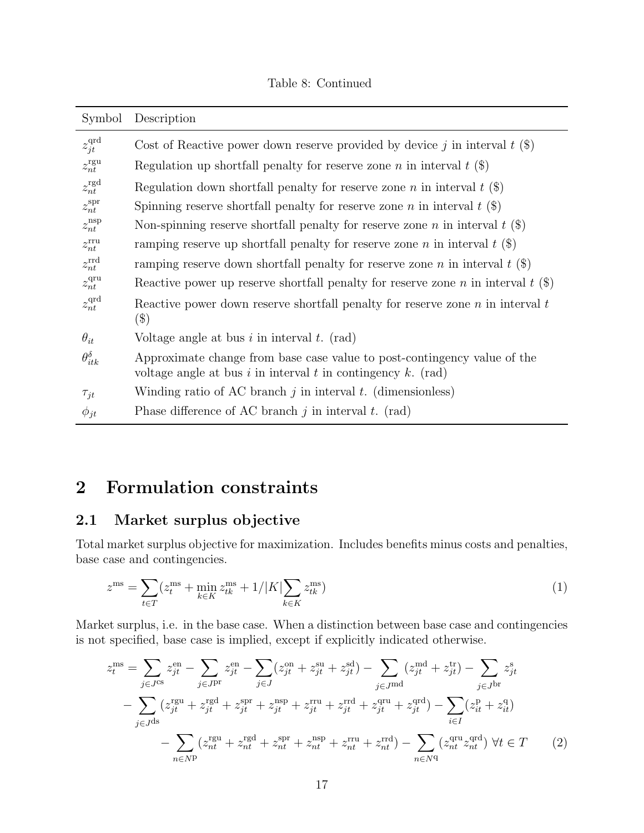#### Table 8: Continued

| Symbol                  | Description                                                                                                                              |
|-------------------------|------------------------------------------------------------------------------------------------------------------------------------------|
| $z_{jt}^{\rm qrd}$      | Cost of Reactive power down reserve provided by device j in interval $t$ (\$)                                                            |
| $z_{nt}^{\text{rgu}}$   | Regulation up shortfall penalty for reserve zone <i>n</i> in interval $t$ (\$)                                                           |
| $z_{nt}^{\text{rgd}}$   | Regulation down shortfall penalty for reserve zone <i>n</i> in interval $t$ (\$)                                                         |
| $z_{nt}^{\text{spr}}$   | Spinning reserve shortfall penalty for reserve zone <i>n</i> in interval $t$ (\$)                                                        |
| $z_{nt}$ <sup>nsp</sup> | Non-spinning reserve shortfall penalty for reserve zone <i>n</i> in interval $t$ ( $\hat{\mathbf{s}}$ )                                  |
| $z_{nt}^{\text{rru}}$   | ramping reserve up shortfall penalty for reserve zone <i>n</i> in interval $t$ (\$)                                                      |
| $z_{nt}^{\rm rrd}$      | ramping reserve down shortfall penalty for reserve zone n in interval t $(\$)$                                                           |
| $z_{nt}^{\text{qru}}$   | Reactive power up reserve shortfall penalty for reserve zone n in interval $t$ (\$)                                                      |
| $z_{nt}^{\text{qrd}}$   | Reactive power down reserve shortfall penalty for reserve zone $n$ in interval $t$<br>$(\$)$                                             |
| $\theta_{it}$           | Voltage angle at bus $i$ in interval $t$ . (rad)                                                                                         |
| $\theta_{itk}^{\delta}$ | Approximate change from base case value to post-contingency value of the<br>voltage angle at bus i in interval t in contingency k. (rad) |
| $\tau_{jt}$             | Winding ratio of AC branch $j$ in interval $t$ . (dimensionless)                                                                         |
| $\phi_{jt}$             | Phase difference of AC branch $j$ in interval $t$ . (rad)                                                                                |

## <span id="page-16-0"></span>2 Formulation constraints

#### <span id="page-16-1"></span>2.1 Market surplus objective

Total market surplus objective for maximization. Includes benefits minus costs and penalties, base case and contingencies.

$$
z^{\rm ms} = \sum_{t \in T} (z_t^{\rm ms} + \min_{k \in K} z_{tk}^{\rm ms} + 1/|K| \sum_{k \in K} z_{tk}^{\rm ms})
$$
(1)

Market surplus, i.e. in the base case. When a distinction between base case and contingencies is not specified, base case is implied, except if explicitly indicated otherwise.

$$
z_t^{\text{ms}} = \sum_{j \in J^{\text{cs}}} z_{jt}^{\text{en}} - \sum_{j \in J^{\text{pr}}} z_{jt}^{\text{en}} - \sum_{j \in J} (z_{jt}^{\text{on}} + z_{jt}^{\text{su}} + z_{jt}^{\text{sd}}) - \sum_{j \in J^{\text{md}}} (z_{jt}^{\text{md}} + z_{jt}^{\text{tr}}) - \sum_{j \in J^{\text{br}}} z_{jt}^{\text{s}}
$$

$$
- \sum_{j \in J^{\text{ds}}} (z_{jt}^{\text{rgu}} + z_{jt}^{\text{rgd}} + z_{jt}^{\text{spr}} + z_{jt}^{\text{nsp}} + z_{jt}^{\text{rru}} + z_{jt}^{\text{rrd}} + z_{jt}^{\text{qru}} + z_{jt}^{\text{qrd}}) - \sum_{i \in I} (z_{it}^{\text{p}} + z_{it}^{\text{q}})
$$

$$
- \sum_{n \in N^{\text{p}}} (z_{nt}^{\text{rgu}} + z_{nt}^{\text{rgd}} + z_{nt}^{\text{srp}} + z_{nt}^{\text{nsp}} + z_{nt}^{\text{rru}} + z_{nt}^{\text{rrd}}) - \sum_{n \in N^{\text{q}}} (z_{nt}^{\text{qru}} z_{nt}^{\text{qrd}}) \ \forall t \in T \tag{2}
$$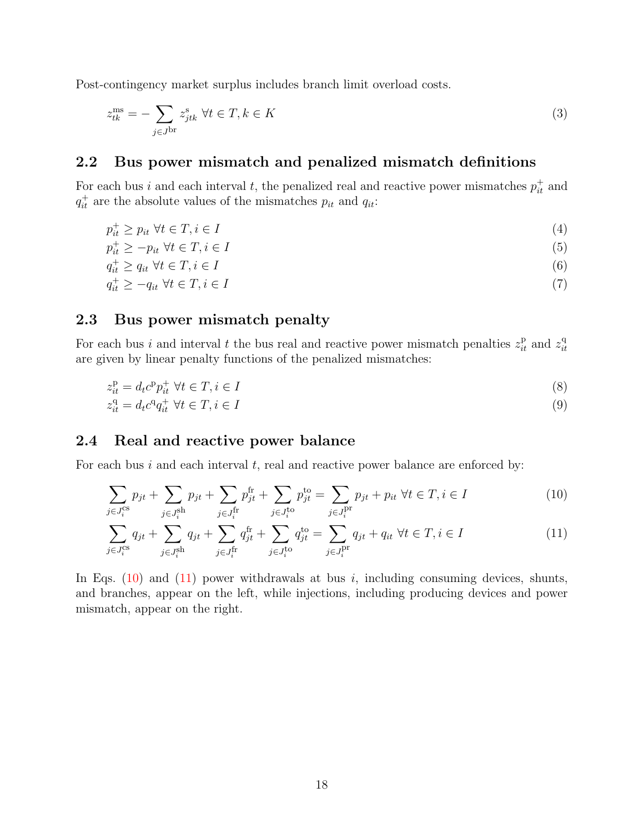Post-contingency market surplus includes branch limit overload costs.

$$
z_{tk}^{\text{ms}} = -\sum_{j \in J^{\text{br}}} z_{jtk}^{\text{s}} \ \forall t \in T, k \in K \tag{3}
$$

#### <span id="page-17-0"></span>2.2 Bus power mismatch and penalized mismatch definitions

For each bus i and each interval t, the penalized real and reactive power mismatches  $p_{it}^{\dagger}$  and  $q_{it}^{+}$  are the absolute values of the mismatches  $p_{it}$  and  $q_{it}$ :

$$
p_{it}^+ \ge p_{it} \ \forall t \in T, i \in I \tag{4}
$$

$$
p_{it}^{+} \ge -p_{it} \,\,\forall t \in T, i \in I \tag{5}
$$

$$
q_{it}^+ \ge q_{it} \ \forall t \in T, i \in I \tag{6}
$$

$$
q_{it}^+ \ge -q_{it} \ \forall t \in T, i \in I \tag{7}
$$

## <span id="page-17-1"></span>2.3 Bus power mismatch penalty

For each bus i and interval t the bus real and reactive power mismatch penalties  $z_{it}^{\mathrm{p}}$  and  $z_{it}^{\mathrm{q}}$ it are given by linear penalty functions of the penalized mismatches:

$$
z_{it}^{\mathrm{p}} = d_t c^{\mathrm{p}} p_{it}^+ \ \forall t \in T, i \in I \tag{8}
$$

$$
z_{it}^{\mathbf{q}} = d_t c^{\mathbf{q}} q_{it}^+ \ \forall t \in T, i \in I \tag{9}
$$

## <span id="page-17-2"></span>2.4 Real and reactive power balance

For each bus  $i$  and each interval  $t$ , real and reactive power balance are enforced by:

<span id="page-17-3"></span>
$$
\sum_{j \in J_i^{\text{cs}}} p_{jt} + \sum_{j \in J_i^{\text{sh}}} p_{jt} + \sum_{j \in J_i^{\text{fr}}} p_{jt}^{\text{fr}} + \sum_{j \in J_i^{\text{to}}} p_{jt}^{\text{to}} = \sum_{j \in J_i^{\text{pr}}} p_{jt} + p_{it} \ \forall t \in T, i \in I
$$
\n(10)

<span id="page-17-4"></span>
$$
\sum_{j \in J_i^{\text{cs}}} q_{jt} + \sum_{j \in J_i^{\text{sh}}} q_{jt} + \sum_{j \in J_i^{\text{fr}}} q_{jt}^{\text{fr}} + \sum_{j \in J_i^{\text{to}}} q_{jt}^{\text{to}} = \sum_{j \in J_i^{\text{pr}}} q_{jt} + q_{it} \ \forall t \in T, i \in I
$$
\n(11)

In Eqs.  $(10)$  and  $(11)$  power withdrawals at bus i, including consuming devices, shunts, and branches, appear on the left, while injections, including producing devices and power mismatch, appear on the right.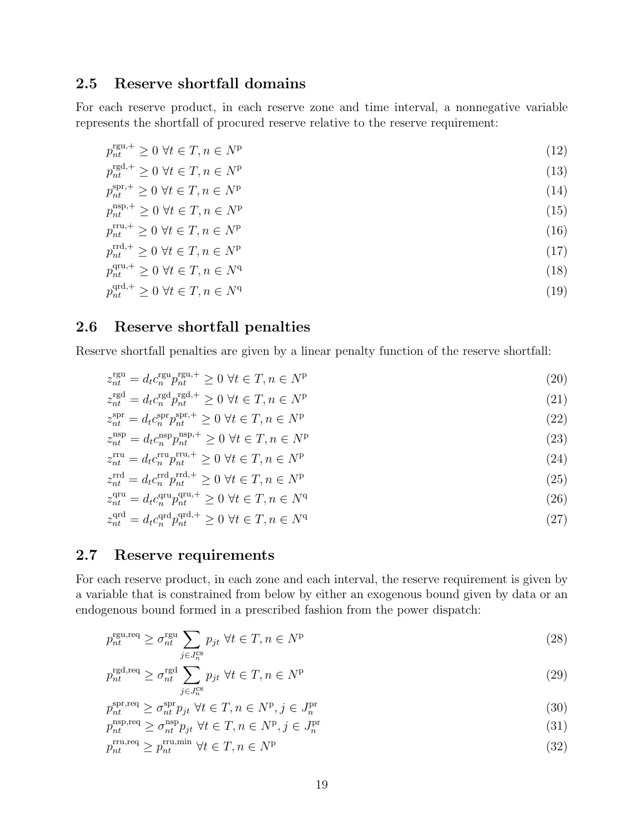## <span id="page-18-0"></span>2.5 Reserve shortfall domains

For each reserve product, in each reserve zone and time interval, a nonnegative variable represents the shortfall of procured reserve relative to the reserve requirement:

$$
p_{nt}^{\text{rgu},+} \ge 0 \,\,\forall t \in T, n \in N^{\text{p}} \tag{12}
$$

$$
p_{nt}^{\text{rgd},+} \ge 0 \,\,\forall t \in T, n \in N^{\text{p}} \tag{13}
$$

$$
p_{nt}^{\text{spr},+} \ge 0 \ \forall t \in T, n \in N^{\text{p}} \tag{14}
$$

$$
p_{nt}^{\text{nsp},+} \ge 0 \,\,\forall t \in T, n \in N^{\text{p}} \tag{15}
$$

$$
p_{nt}^{\text{rru},+} \ge 0 \,\,\forall t \in T, n \in N^{\text{p}} \tag{16}
$$

$$
p_{nt}^{\text{rrd},+} \ge 0 \ \forall t \in T, n \in N^{\text{p}} \tag{17}
$$

$$
p_{nt}^{\text{qru},+} \ge 0 \,\,\forall t \in T, n \in N^{\text{q}} \tag{18}
$$

$$
p_{nt}^{\text{qrd},+} \ge 0 \,\,\forall t \in T, n \in N^{\text{q}} \tag{19}
$$

## <span id="page-18-1"></span>2.6 Reserve shortfall penalties

Reserve shortfall penalties are given by a linear penalty function of the reserve shortfall:

$$
z_{nt}^{\text{rgu}} = d_t c_n^{\text{rgu}} p_{nt}^{\text{rgu},+} \ge 0 \ \forall t \in T, n \in N^{\text{p}} \tag{20}
$$

$$
z_{nt}^{\text{rgd}} = d_t c_n^{\text{rgd}} p_{nt}^{\text{rgd},+} \ge 0 \ \forall t \in T, n \in N^{\text{p}} \tag{21}
$$

$$
z_{nt}^{\text{spr}} = d_t c_n^{\text{spr,}} p_{nt}^{\text{spr,}} \ge 0 \ \forall t \in T, n \in N^{\text{p}} \tag{22}
$$

$$
z_{nt}^{\rm nsp} = d_t c_n^{\rm nsp} p_{nt}^{\rm nsp,+} \ge 0 \ \forall t \in T, n \in N^{\rm p}
$$
\n
$$
(23)
$$

$$
z_{nt}^{\text{rru}} = d_t c_n^{\text{rru}} p_{nt}^{\text{rru},+} \ge 0 \ \forall t \in T, n \in N^{\text{p}} \tag{24}
$$

$$
z_{nt}^{\text{rrd}} = d_t c_n^{\text{rrd}} p_{nt}^{\text{rrd},+} \ge 0 \ \forall t \in T, n \in N^{\text{p}} \tag{25}
$$

$$
z_{nt}^{\text{qru}} = d_t c_n^{\text{qru}} p_{nt}^{\text{qru},+} \ge 0 \ \forall t \in T, n \in N^{\text{q}} \tag{26}
$$

$$
z_{nt}^{\text{qrd}} = d_t c_n^{\text{qrd}} p_{nt}^{\text{qrd},+} \ge 0 \ \forall t \in T, n \in N^{\text{q}} \tag{27}
$$

#### <span id="page-18-2"></span>2.7 Reserve requirements

For each reserve product, in each zone and each interval, the reserve requirement is given by a variable that is constrained from below by either an exogenous bound given by data or an endogenous bound formed in a prescribed fashion from the power dispatch:

<span id="page-18-4"></span>
$$
p_{nt}^{\text{rgu,req}} \ge \sigma_{nt}^{\text{rgu}} \sum_{j \in J_n^{\text{cs}}} p_{jt} \ \forall t \in T, n \in N^{\text{p}} \tag{28}
$$

<span id="page-18-5"></span>
$$
p_{nt}^{\text{rgd},\text{req}} \ge \sigma_{nt}^{\text{rgd}} \sum_{j \in J_n^{\text{cs}}} p_{jt} \ \forall t \in T, n \in N^{\text{p}} \tag{29}
$$

$$
p_{nt}^{\text{spr,req}} \ge \sigma_{nt}^{\text{spr}} p_{jt} \ \forall t \in T, n \in N^{\text{p}}, j \in J_n^{\text{pr}} \tag{30}
$$

<span id="page-18-7"></span><span id="page-18-6"></span><span id="page-18-3"></span>
$$
p_{nt}^{\text{nsp}, \text{req}} \ge \sigma_{nt}^{\text{nsp}} p_{jt} \ \forall t \in T, n \in N^{\text{p}}, j \in J_n^{\text{pr}} \tag{31}
$$

 $p_{nt}^{\text{rru,req}} \geq p_{nt}^{\text{rru,min}} \ \forall t \in T, n \in N^{\text{p}}$ (32)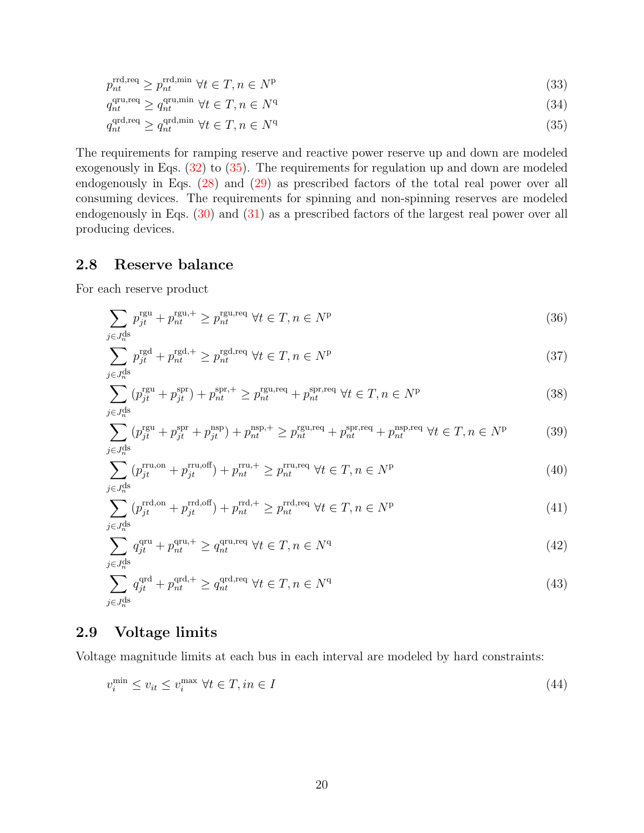$$
p_{nt}^{\text{rrd,req}} \ge p_{nt}^{\text{rrd,min}} \ \forall t \in T, n \in N^{\text{p}} \tag{33}
$$

<span id="page-19-2"></span>
$$
q_{nt}^{\text{qru,req}} \ge q_{nt}^{\text{qru,min}} \ \forall t \in T, n \in N^{\text{q}} \tag{34}
$$

$$
q_{nt}^{\text{qrd,req}} \ge q_{nt}^{\text{qrd,min}} \ \forall t \in T, n \in N^{\text{q}} \tag{35}
$$

The requirements for ramping reserve and reactive power reserve up and down are modeled exogenously in Eqs. [\(32\)](#page-18-3) to [\(35\)](#page-19-2). The requirements for regulation up and down are modeled endogenously in Eqs. [\(28\)](#page-18-4) and [\(29\)](#page-18-5) as prescribed factors of the total real power over all consuming devices. The requirements for spinning and non-spinning reserves are modeled endogenously in Eqs. [\(30\)](#page-18-6) and [\(31\)](#page-18-7) as a prescribed factors of the largest real power over all producing devices.

#### <span id="page-19-0"></span>2.8 Reserve balance

For each reserve product

$$
\sum_{j \in J_n^{\text{ds}}} p_{jt}^{\text{rgu}} + p_{nt}^{\text{rgu},+} \ge p_{nt}^{\text{rgu},\text{req}} \ \forall t \in T, n \in N^{\text{p}} \tag{36}
$$

$$
\sum_{j \in J_n^{\text{ds}}} p_{jt}^{\text{rgd},+} p_{nt}^{\text{rgd},+} \ge p_{nt}^{\text{rgd},\text{req}} \ \forall t \in T, n \in N^{\text{p}} \tag{37}
$$

$$
\sum_{j \in J_n^{\text{ds}}} (p_{jt}^{\text{rgu}} + p_{jt}^{\text{spr}}) + p_{nt}^{\text{spr},+} \ge p_{nt}^{\text{rgu,req}} + p_{nt}^{\text{spr},\text{req}} \ \forall t \in T, n \in N^{\text{p}} \tag{38}
$$

$$
\sum_{j \in J_n^{\text{ds}}} (p_{jt}^{\text{rgu}} + p_{jt}^{\text{spr}} + p_{jt}^{\text{nsp}}) + p_{nt}^{\text{nsp},+} \ge p_{nt}^{\text{rgu},\text{req}} + p_{nt}^{\text{spr},\text{req}} + p_{nt}^{\text{nsp},\text{req}} \ \forall t \in T, n \in N^{\text{p}} \tag{39}
$$

$$
\sum_{j \in J_n^{\text{ds}}} (p_{jt}^{\text{rru,on}} + p_{jt}^{\text{rru,off}}) + p_{nt}^{\text{rru,+}} \ge p_{nt}^{\text{rru,req}} \ \forall t \in T, n \in N^{\text{p}} \tag{40}
$$

$$
\sum_{j \in J_n^{\text{ds}}} (p_{jt}^{\text{rrd,on}} + p_{jt}^{\text{rrd,off}}) + p_{nt}^{\text{rrd},+} \ge p_{nt}^{\text{rrd,req}} \ \forall t \in T, n \in N^{\text{p}} \tag{41}
$$

$$
\sum_{j \in J_n^{\text{ds}}} q_{jt}^{\text{qru}} + p_{nt}^{\text{qru}, +} \ge q_{nt}^{\text{qru}, \text{req}} \ \forall t \in T, n \in N^{\text{q}} \tag{42}
$$

$$
\sum_{j \in J_n^{\text{ds}}} q_{jt}^{\text{qrd}} + p_{nt}^{\text{qrd},+} \ge q_{nt}^{\text{qrd},\text{req}} \ \forall t \in T, n \in N^{\text{q}} \tag{43}
$$

#### <span id="page-19-1"></span>2.9 Voltage limits

Voltage magnitude limits at each bus in each interval are modeled by hard constraints:

$$
v_i^{\min} \le v_{it} \le v_i^{\max} \ \forall t \in T, in \in I \tag{44}
$$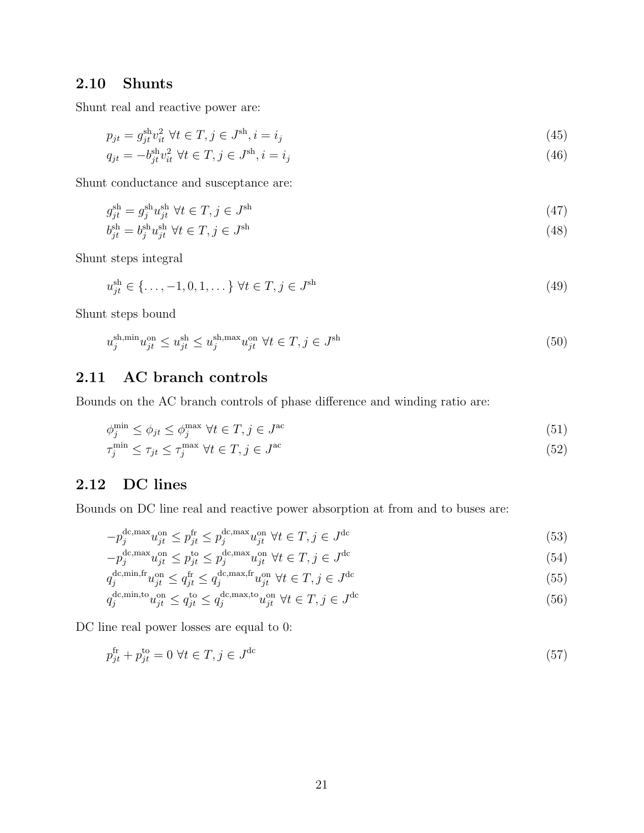## <span id="page-20-0"></span>2.10 Shunts

Shunt real and reactive power are:

$$
p_{jt} = g_{jt}^{\text{sh}} v_{it}^2 \ \forall t \in T, j \in J^{\text{sh}}, i = i_j \tag{45}
$$

$$
q_{jt} = -b_{jt}^{\text{sh}} v_{it}^2 \ \forall t \in T, j \in J^{\text{sh}}, i = i_j \tag{46}
$$

Shunt conductance and susceptance are:

$$
g_{jt}^{\text{sh}} = g_j^{\text{sh}} u_{jt}^{\text{sh}} \ \forall t \in T, j \in J^{\text{sh}} \tag{47}
$$

$$
b_{jt}^{\text{sh}} = b_j^{\text{sh}} u_{jt}^{\text{sh}} \ \forall t \in T, j \in J^{\text{sh}} \tag{48}
$$

Shunt steps integral

$$
u_{jt}^{\text{sh}} \in \{\dots, -1, 0, 1, \dots\} \,\,\forall t \in T, j \in J^{\text{sh}} \tag{49}
$$

Shunt steps bound

$$
u_j^{\text{sh,min}} u_{jt}^{\text{on}} \le u_{jt}^{\text{sh}} \le u_j^{\text{sh,max}} u_{jt}^{\text{on}} \ \forall t \in T, j \in J^{\text{sh}}
$$
\n
$$
(50)
$$

## <span id="page-20-1"></span>2.11 AC branch controls

Bounds on the AC branch controls of phase difference and winding ratio are:

$$
\phi_j^{\min} \le \phi_{jt} \le \phi_j^{\max} \ \forall t \in T, j \in J^{\text{ac}} \tag{51}
$$

$$
\tau_j^{\min} \le \tau_{jt} \le \tau_j^{\max} \ \forall t \in T, j \in J^{\text{ac}} \tag{52}
$$

## <span id="page-20-2"></span>2.12 DC lines

Bounds on DC line real and reactive power absorption at from and to buses are:

$$
-p_j^{\text{dc,max}} u_{jt}^{\text{on}} \le p_{jt}^{\text{fr}} \le p_j^{\text{dc,max}} u_{jt}^{\text{on}} \ \forall t \in T, j \in J^{\text{dc}} \tag{53}
$$

$$
-p_j^{\text{dc,max}} u_{jt}^{\text{on}} \le p_{jt}^{\text{to}} \le p_j^{\text{dc,max}} u_{jt}^{\text{on}} \ \forall t \in T, j \in J^{\text{dc}} \tag{54}
$$

$$
q_j^{\text{dc,min,fr}} u_{jt}^{\text{on}} \le q_{jt}^{\text{fr}} \le q_j^{\text{dc,max,fr}} u_{jt}^{\text{on}} \ \forall t \in T, j \in J^{\text{dc}} \tag{55}
$$

$$
q_j^{\text{dc,min,to}} u_{jt}^{\text{on}} \le q_{jt}^{\text{to}} \le q_j^{\text{dc,max,to}} u_{jt}^{\text{on}} \ \forall t \in T, j \in J^{\text{dc}} \tag{56}
$$

DC line real power losses are equal to 0:

$$
p_{jt}^{\text{fr}} + p_{jt}^{\text{to}} = 0 \ \forall t \in T, j \in J^{\text{dc}} \tag{57}
$$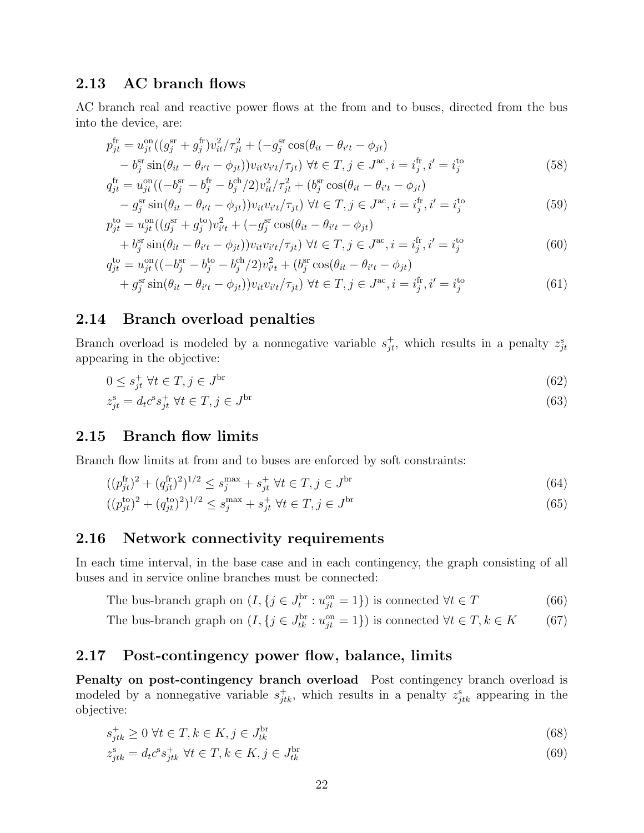#### <span id="page-21-0"></span>2.13 AC branch flows

AC branch real and reactive power flows at the from and to buses, directed from the bus into the device, are:

$$
p_{jt}^{\text{fr}} = u_{jt}^{\text{on}}((g_j^{\text{sr}} + g_j^{\text{fr}})v_{it}^2/\tau_{jt}^2 + (-g_j^{\text{sr}}\cos(\theta_{it} - \theta_{i't} - \phi_{jt}))
$$
  
\n
$$
-b_j^{\text{sr}}\sin(\theta_{it} - \theta_{i't} - \phi_{jt}))v_{it}v_{i't}/\tau_{jt}) \ \forall t \in T, j \in J^{\text{ac}}, i = i_j^{\text{fr}}, i' = i_j^{\text{to}}
$$
  
\n
$$
q_{jt}^{\text{fr}} = u_{jt}^{\text{on}}((-b_j^{\text{sr}} - b_j^{\text{fr}} - b_j^{\text{ch}}/2)v_{it}^2/\tau_{jt}^2 + (b_j^{\text{sr}}\cos(\theta_{it} - \theta_{i't} - \phi_{jt}))
$$
\n(58)

$$
-g_j^{\text{sr}} \sin(\theta_{it} - \theta_{i't} - \phi_{jt})) v_{it} v_{i't}/\tau_{jt} \ \forall t \in T, j \in J^{\text{ac}}, i = i_j^{\text{fr}}, i' = i_j^{\text{to}} \tag{59}
$$

$$
p_{jt}^{to} = u_{jt}^{on}((g_j^{sr} + g_j^{to})v_{i't}^2 + (-g_j^{sr}\cos(\theta_{it} - \theta_{i't} - \phi_{jt})) + b_j^{sr}\sin(\theta_{it} - \theta_{i't} - \phi_{jt}))v_{it}v_{i't}/\tau_{jt}) \ \forall t \in T, j \in J^{ac}, i = i_j^{fr}, i' = i_j^{to}
$$
(60)

$$
q_{jt}^{to} = u_{jt}^{on}((-b_j^{sr} - b_j^{to} - b_j^{ch}/2)v_{it'}^2 + (b_j^{sr}\cos(\theta_{it} - \theta_{i't} - \phi_{jt})+ g_j^{sr}\sin(\theta_{it} - \theta_{i't} - \phi_{jt}))v_{it}v_{i't}/\tau_{jt}) \ \forall t \in T, j \in J^{ac}, i = i_j^{fr}, i' = i_j^{to}
$$
(61)

#### <span id="page-21-1"></span>2.14 Branch overload penalties

Branch overload is modeled by a nonnegative variable  $s_{jt}^+$ , which results in a penalty  $z_{jt}^s$ appearing in the objective:

$$
0 \le s_{jt}^+ \ \forall t \in T, j \in J^{\text{br}} \tag{62}
$$

$$
z_{jt}^{\rm s} = d_t c^{\rm s} s_{jt}^+ \ \forall t \in T, j \in J^{\rm br} \tag{63}
$$

#### <span id="page-21-2"></span>2.15 Branch flow limits

Branch flow limits at from and to buses are enforced by soft constraints:

$$
((p_{jt}^{\text{fr}})^2 + (q_{jt}^{\text{fr}})^2)^{1/2} \le s_j^{\max} + s_{jt}^+ \ \forall t \in T, j \in J^{\text{br}} \tag{64}
$$

$$
((p_{jt}^{to})^2 + (q_{jt}^{to})^2)^{1/2} \le s_j^{\max} + s_{jt}^+ \ \forall t \in T, j \in J^{\text{br}} \tag{65}
$$

#### <span id="page-21-3"></span>2.16 Network connectivity requirements

In each time interval, in the base case and in each contingency, the graph consisting of all buses and in service online branches must be connected:

The bus-branch graph on  $(I, \{j \in J_t^{\text{br}} : u_{jt}^{\text{on}} = 1\})$  is connected  $\forall t \in T$  (66)

The bus-branch graph on  $(I, \{j \in J_{tk}^{\text{br}} : u_{jt}^{\text{on}} = 1\})$  is connected  $\forall t \in T, k \in K$  (67)

## <span id="page-21-4"></span>2.17 Post-contingency power flow, balance, limits

Penalty on post-contingency branch overload Post contingency branch overload is modeled by a nonnegative variable  $s_{jtk}^+$ , which results in a penalty  $z_{jtk}^s$  appearing in the objective:

$$
s_{jtk}^+ \ge 0 \ \forall t \in T, k \in K, j \in J_{tk}^{\text{br}} \tag{68}
$$

$$
z_{jtk}^{\mathrm{s}} = d_t c^{\mathrm{s}} s_{jtk}^+ \ \forall t \in T, k \in K, j \in J_{tk}^{\mathrm{br}} \tag{69}
$$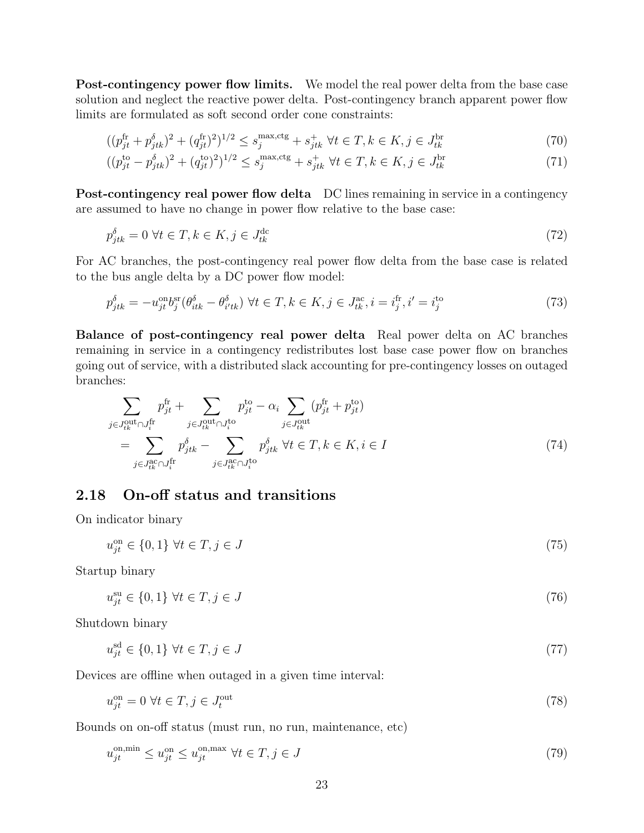Post-contingency power flow limits. We model the real power delta from the base case solution and neglect the reactive power delta. Post-contingency branch apparent power flow limits are formulated as soft second order cone constraints:

$$
((p_{jt}^{\text{fr}} + p_{jtk}^{\delta})^2 + (q_{jt}^{\text{fr}})^2)^{1/2} \le s_j^{\text{max,ctg}} + s_{jtk}^+ \ \forall t \in T, k \in K, j \in J_{tk}^{\text{br}} \tag{70}
$$

$$
((p_{jt}^{to} - p_{jtk}^{\delta})^2 + (q_{jt}^{to})^2)^{1/2} \le s_j^{\max, ctg} + s_{jtk}^+ \ \forall t \in T, k \in K, j \in J_{tk}^{\text{br}} \tag{71}
$$

Post-contingency real power flow delta DC lines remaining in service in a contingency are assumed to have no change in power flow relative to the base case:

$$
p_{jtk}^{\delta} = 0 \,\,\forall t \in T, k \in K, j \in J_{tk}^{\text{dc}} \tag{72}
$$

For AC branches, the post-contingency real power flow delta from the base case is related to the bus angle delta by a DC power flow model:

$$
p_{jtk}^{\delta} = -u_{jt}^{\text{on}} b_j^{\text{sr}} (\theta_{itk}^{\delta} - \theta_{i'tk}^{\delta}) \ \forall t \in T, k \in K, j \in J_{tk}^{\text{ac}}, i = i_j^{\text{fr}}, i' = i_j^{\text{to}} \tag{73}
$$

Balance of post-contingency real power delta Real power delta on AC branches remaining in service in a contingency redistributes lost base case power flow on branches going out of service, with a distributed slack accounting for pre-contingency losses on outaged branches:

$$
\sum_{j \in J_{tk}^{\text{out}} \cap J_{i}^{\text{fr}}} p_{jt}^{\text{fr}} + \sum_{j \in J_{tk}^{\text{out}} \cap J_{i}^{\text{to}}} p_{jt}^{\text{to}} - \alpha_{i} \sum_{j \in J_{tk}^{\text{out}}} (p_{jt}^{\text{fr}} + p_{jt}^{\text{to}})
$$
\n
$$
= \sum_{j \in J_{tk}^{\text{ac}} \cap J_{i}^{\text{fr}}} p_{jtk}^{\delta} - \sum_{j \in J_{tk}^{\text{ac}} \cap J_{i}^{\text{to}}} p_{jtk}^{\delta} \ \forall t \in T, k \in K, i \in I
$$
\n
$$
(74)
$$

### <span id="page-22-0"></span>2.18 On-off status and transitions

On indicator binary

$$
u_{jt}^{\text{on}} \in \{0, 1\} \,\,\forall t \in T, j \in J \tag{75}
$$

Startup binary

$$
u_{jt}^{\rm su} \in \{0, 1\} \,\,\forall t \in T, j \in J \tag{76}
$$

Shutdown binary

$$
u_{jt}^{\text{sd}} \in \{0, 1\} \,\,\forall t \in T, j \in J \tag{77}
$$

Devices are offline when outaged in a given time interval:

$$
u_{jt}^{\text{on}} = 0 \,\,\forall t \in T, j \in J_t^{\text{out}} \tag{78}
$$

Bounds on on-off status (must run, no run, maintenance, etc)

$$
u_{jt}^{\text{on,min}} \le u_{jt}^{\text{on}} \le u_{jt}^{\text{on,max}} \ \forall t \in T, j \in J \tag{79}
$$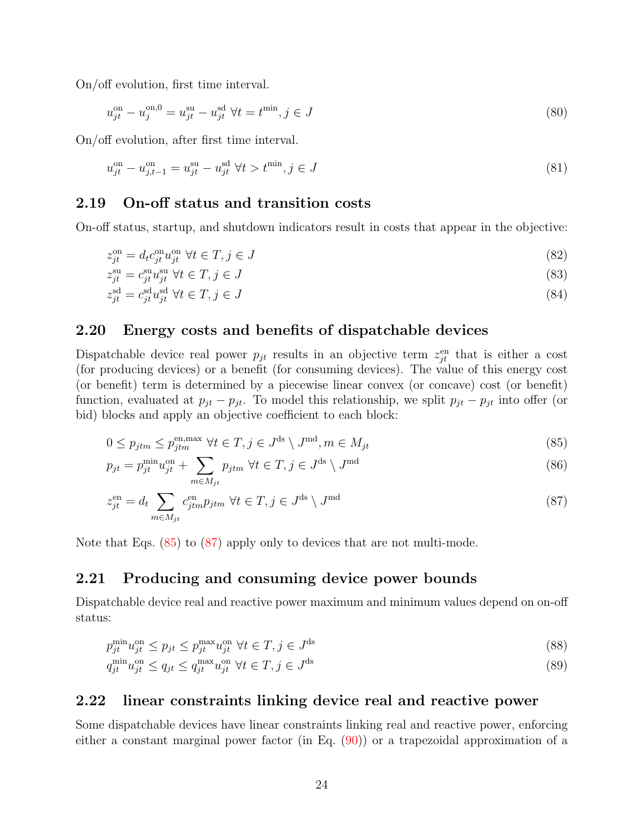On/off evolution, first time interval.

$$
u_{jt}^{\text{on}} - u_j^{\text{on},0} = u_{jt}^{\text{su}} - u_{jt}^{\text{sd}} \ \forall t = t^{\text{min}}, j \in J
$$
\n(80)

On/off evolution, after first time interval.

$$
u_{jt}^{\text{on}} - u_{j,t-1}^{\text{on}} = u_{jt}^{\text{su}} - u_{jt}^{\text{sd}} \ \forall t > t^{\min}, j \in J \tag{81}
$$

#### <span id="page-23-0"></span>2.19 On-off status and transition costs

On-off status, startup, and shutdown indicators result in costs that appear in the objective:

$$
z_{jt}^{\text{on}} = d_t c_{jt}^{\text{on}} u_{jt}^{\text{on}} \ \forall t \in T, j \in J \tag{82}
$$

$$
z_{jt}^{\rm su} = c_{jt}^{\rm su} u_{jt}^{\rm su} \ \forall t \in T, j \in J \tag{83}
$$

$$
z_{jt}^{\rm sd} = c_{jt}^{\rm sd} u_{jt}^{\rm sd} \ \forall t \in T, j \in J \tag{84}
$$

#### <span id="page-23-1"></span>2.20 Energy costs and benefits of dispatchable devices

Dispatchable device real power  $p_{jt}$  results in an objective term  $z_{jt}^{\text{en}}$  that is either a cost (for producing devices) or a benefit (for consuming devices). The value of this energy cost (or benefit) term is determined by a piecewise linear convex (or concave) cost (or benefit) function, evaluated at  $p_{jt} - p_{jt}$ . To model this relationship, we split  $p_{jt} - p_{jt}$  into offer (or bid) blocks and apply an objective coefficient to each block:

<span id="page-23-4"></span>
$$
0 \le p_{jtm} \le p_{jtm}^{\text{en,max}} \ \forall t \in T, j \in J^{\text{ds}} \setminus J^{\text{md}}, m \in M_{jt} \tag{85}
$$

$$
p_{jt} = p_{jt}^{\min} u_{jt}^{\text{on}} + \sum_{m \in M_{jt}} p_{jtm} \ \forall t \in T, j \in J^{\text{ds}} \setminus J^{\text{md}}
$$
\n
$$
(86)
$$

<span id="page-23-5"></span>
$$
z_{jt}^{\text{en}} = d_t \sum_{m \in M_{jt}} c_{jtm}^{\text{en}} p_{jtm} \ \forall t \in T, j \in J^{\text{ds}} \setminus J^{\text{md}}
$$
\n
$$
(87)
$$

Note that Eqs. [\(85\)](#page-23-4) to [\(87\)](#page-23-5) apply only to devices that are not multi-mode.

#### <span id="page-23-2"></span>2.21 Producing and consuming device power bounds

Dispatchable device real and reactive power maximum and minimum values depend on on-off status:

$$
p_{jt}^{\min} u_{jt}^{\text{on}} \le p_{jt} \le p_{jt}^{\max} u_{jt}^{\text{on}} \ \forall t \in T, j \in J^{\text{ds}}
$$
\n
$$
(88)
$$

$$
q_{jt}^{\min} u_{jt}^{\text{on}} \le q_{jt} \le q_{jt}^{\max} u_{jt}^{\text{on}} \ \forall t \in T, j \in J^{\text{ds}} \tag{89}
$$

#### <span id="page-23-3"></span>2.22 linear constraints linking device real and reactive power

Some dispatchable devices have linear constraints linking real and reactive power, enforcing either a constant marginal power factor (in Eq. [\(90\)](#page-24-5)) or a trapezoidal approximation of a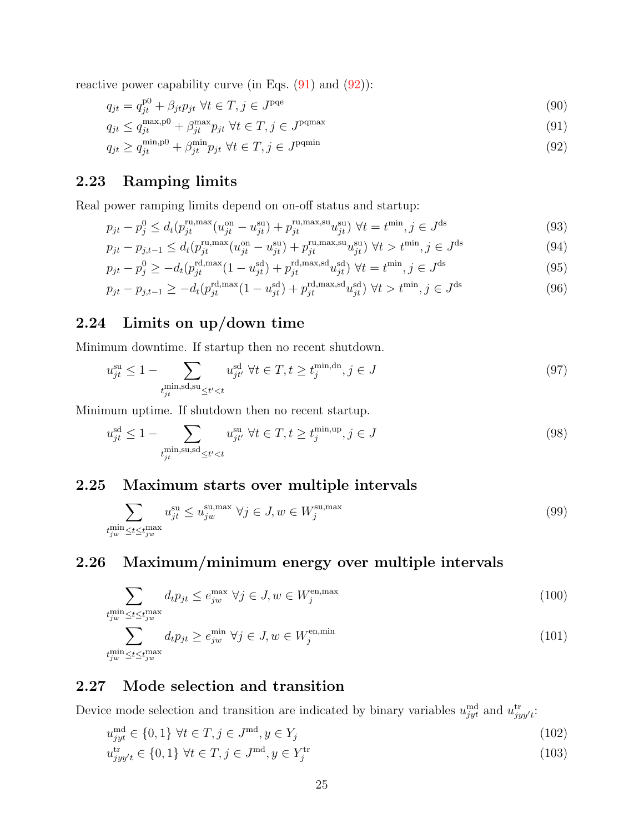reactive power capability curve (in Eqs.  $(91)$  and  $(92)$ ):

<span id="page-24-5"></span>
$$
q_{jt} = q_{jt}^{p0} + \beta_{jt} p_{jt} \ \forall t \in T, j \in J^{pqe}
$$
\n
$$
(90)
$$

$$
q_{jt} \le q_{jt}^{\max, p0} + \beta_{jt}^{\max} p_{jt} \ \forall t \in T, j \in J^{\text{pqmax}} \tag{91}
$$

<span id="page-24-7"></span><span id="page-24-6"></span>
$$
q_{jt} \ge q_{jt}^{\min, p0} + \beta_{jt}^{\min} p_{jt} \ \forall t \in T, j \in J^{\text{pqmin}} \tag{92}
$$

## <span id="page-24-0"></span>2.23 Ramping limits

Real power ramping limits depend on on-off status and startup:

$$
p_{jt} - p_j^0 \le d_t(p_{jt}^{\text{ru,max}}(u_{jt}^{\text{on}} - u_{jt}^{\text{su}}) + p_{jt}^{\text{ru,max,su}}u_{jt}^{\text{su}}) \ \forall t = t^{\text{min}}, j \in J^{\text{ds}}
$$
(93)

$$
p_{jt} - p_{j,t-1} \le d_t(p_{jt}^{\text{ru,max}}(u_{jt}^{\text{on}} - u_{jt}^{\text{su}}) + p_{jt}^{\text{ru,max,su}}u_{jt}^{\text{su}}) \,\,\forall t > t^{\min}, j \in J^{\text{ds}} \tag{94}
$$

$$
p_{jt} - p_j^0 \ge -d_t(p_{jt}^{\text{rd,max}}(1 - u_{jt}^{\text{sd}}) + p_{jt}^{\text{rd,max,sd}} u_{jt}^{\text{sd}}) \ \forall t = t^{\min}, j \in J^{\text{ds}}
$$
(95)

$$
p_{jt} - p_{j,t-1} \ge -d_t(p_{jt}^{\text{rd,max}}(1 - u_{jt}^{\text{sd}}) + p_{jt}^{\text{rd,max,sd}} u_{jt}^{\text{sd}}) \ \forall t > t^{\min}, j \in J^{\text{ds}} \tag{96}
$$

## <span id="page-24-1"></span>2.24 Limits on up/down time

Minimum downtime. If startup then no recent shutdown.

$$
u_{jt}^{\text{su}} \le 1 - \sum_{\substack{t_{jt}^{\text{min}}, \text{sd}, \text{su}_{\le t' < t}} u_{jt'}^{\text{sd}} \ \forall t \in T, t \ge t_j^{\text{min}, \text{dn}}, j \in J
$$
\n
$$
(97)
$$

Minimum uptime. If shutdown then no recent startup.

$$
u_{jt}^{\text{sd}} \le 1 - \sum_{\substack{t_{jt}^{\min,\text{su},\text{sd}} \le t' < t}} u_{jt'}^{\text{su}} \ \forall t \in T, t \ge t_j^{\min,\text{up}}, j \in J \tag{98}
$$

#### <span id="page-24-2"></span>2.25 Maximum starts over multiple intervals

$$
\sum_{\substack{t_{jw}^{\min} \le t \le t_{jw}^{\max}} \sum_{i} u_{jt}^{\supset u} \le u_{jw}^{\supset u, \max} \ \forall j \in J, w \in W_j^{\supset \max} \tag{99}
$$

## <span id="page-24-3"></span>2.26 Maximum/minimum energy over multiple intervals

$$
\sum_{\substack{t_{jw}^{\min} \le t \le t_{jw}^{\max} \\ t_{jw}^{\min}}} d_t p_{jt} \le e_{jw}^{\max} \ \forall j \in J, w \in W_j^{\text{en,max}} \tag{100}
$$

$$
\sum_{\substack{t_{jw}^{\min} \le t \le t_{jw}^{\max}} d_t p_{jt} \ge e_{jw}^{\min} \ \forall j \in J, w \in W_j^{\text{en,min}} \tag{101}
$$

#### <span id="page-24-4"></span>2.27 Mode selection and transition

Device mode selection and transition are indicated by binary variables  $u_{jyt}^{\text{md}}$  and  $u_{jyy't}^{\text{tr}}$ :

$$
u_{jyt}^{\text{md}} \in \{0, 1\} \,\,\forall t \in T, j \in J^{\text{md}}, y \in Y_j \tag{102}
$$

$$
u_{jyy't}^{\text{tr}} \in \{0, 1\} \,\,\forall t \in T, j \in J^{\text{md}}, y \in Y_j^{\text{tr}} \tag{103}
$$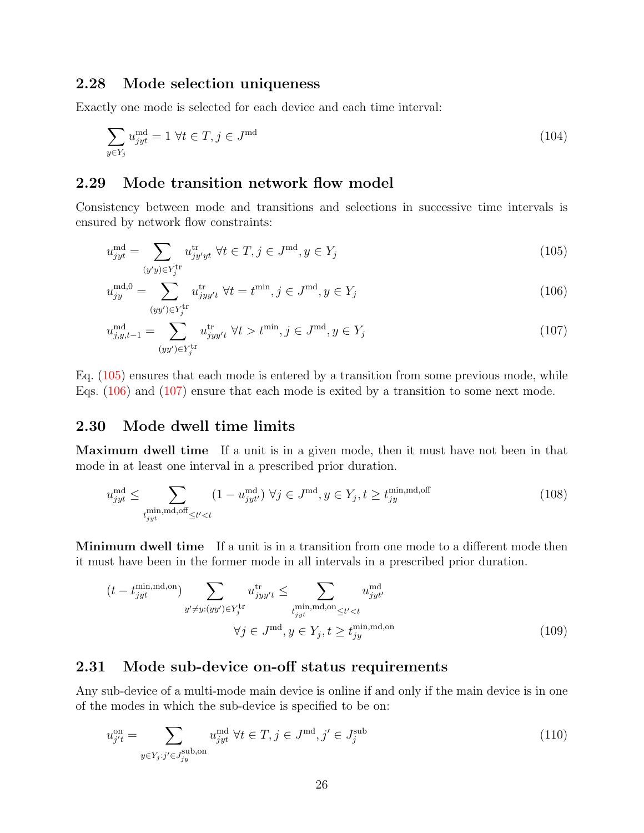#### <span id="page-25-0"></span>2.28 Mode selection uniqueness

Exactly one mode is selected for each device and each time interval:

$$
\sum_{y \in Y_j} u_{jyt}^{\text{md}} = 1 \,\forall t \in T, j \in J^{\text{md}} \tag{104}
$$

#### <span id="page-25-1"></span>2.29 Mode transition network flow model

Consistency between mode and transitions and selections in successive time intervals is ensured by network flow constraints:

<span id="page-25-4"></span>
$$
u_{jyt}^{\text{md}} = \sum_{(y'y)\in Y_j^{\text{tr}}} u_{jy'yt}^{\text{tr}} \ \forall t \in T, j \in J^{\text{md}}, y \in Y_j \tag{105}
$$

<span id="page-25-5"></span>
$$
u_{jy}^{\text{md},0} = \sum_{(yy') \in Y_j^{\text{tr}}} u_{jyy't}^{\text{tr}} \ \forall t = t^{\text{min}}, j \in J^{\text{md}}, y \in Y_j \tag{106}
$$

<span id="page-25-6"></span>
$$
u_{j,y,t-1}^{\text{md}} = \sum_{(yy') \in Y_j^{\text{tr}}} u_{jyy't}^{\text{tr}} \ \forall t > t^{\min}, j \in J^{\text{md}}, y \in Y_j \tag{107}
$$

Eq. [\(105\)](#page-25-4) ensures that each mode is entered by a transition from some previous mode, while Eqs. [\(106\)](#page-25-5) and [\(107\)](#page-25-6) ensure that each mode is exited by a transition to some next mode.

#### <span id="page-25-2"></span>2.30 Mode dwell time limits

Maximum dwell time If a unit is in a given mode, then it must have not been in that mode in at least one interval in a prescribed prior duration.

$$
u_{jyt}^{\text{md}} \leq \sum_{\substack{t_{jyt}^{\text{min},\text{md}}, \text{off} \leq t' < t}} (1 - u_{jyt'}^{\text{md}}) \ \forall j \in J^{\text{md}}, y \in Y_j, t \geq t_{jy}^{\text{min},\text{md},\text{off}} \tag{108}
$$

Minimum dwell time If a unit is in a transition from one mode to a different mode then it must have been in the former mode in all intervals in a prescribed prior duration.

$$
(t - t_{jyt}^{\min, \text{md}, \text{on}}) \sum_{y' \neq y: (yy') \in Y_j^{\text{tr}}} u_{jyy't}^{\text{tr}} \leq \sum_{\substack{t_{jyt}^{\min, \text{md}, \text{on}} \leq t' < t \\ y' \in J^{\text{md}}, y \in Y_j, t \geq t_{jy}^{\min, \text{md}, \text{on}}}} u_{jyt}^{\text{md}} \tag{109}
$$

### <span id="page-25-3"></span>2.31 Mode sub-device on-off status requirements

Any sub-device of a multi-mode main device is online if and only if the main device is in one of the modes in which the sub-device is specified to be on:

$$
u_{j't}^{\text{on}} = \sum_{y \in Y_j : j' \in J_{jy}^{\text{sub},\text{on}}} u_{jyt}^{\text{md}} \ \forall t \in T, j \in J^{\text{md}}, j' \in J_j^{\text{sub}} \tag{110}
$$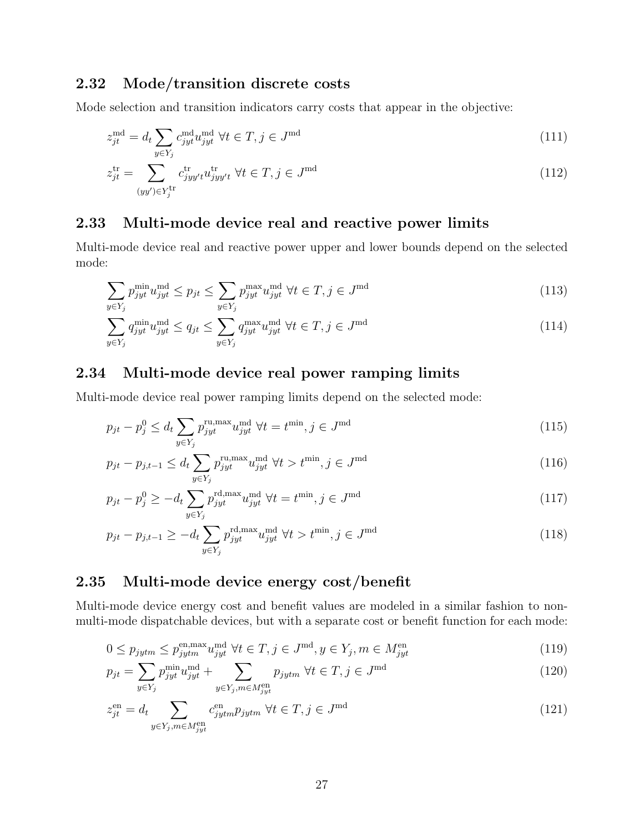## <span id="page-26-0"></span>2.32 Mode/transition discrete costs

Mode selection and transition indicators carry costs that appear in the objective:

$$
z_{jt}^{\text{md}} = d_t \sum_{y \in Y_j} c_{jyt}^{\text{md}} u_{jyt}^{\text{md}} \ \forall t \in T, j \in J^{\text{md}} \tag{111}
$$

$$
z_{jt}^{\text{tr}} = \sum_{(yy') \in Y_j^{\text{tr}}} c_{jyy't}^{\text{tr}} u_{jyy't}^{\text{tr}} \ \forall t \in T, j \in J^{\text{md}}
$$
\n
$$
(112)
$$

## <span id="page-26-1"></span>2.33 Multi-mode device real and reactive power limits

Multi-mode device real and reactive power upper and lower bounds depend on the selected mode:

$$
\sum_{y \in Y_j} p_{jyt}^{\min} u_{jyt}^{\text{md}} \le p_{jt} \le \sum_{y \in Y_j} p_{jyt}^{\max} u_{jyt}^{\text{md}} \ \forall t \in T, j \in J^{\text{md}} \tag{113}
$$

$$
\sum_{y \in Y_j} q_{jyt}^{\min} u_{jyt}^{\text{md}} \le q_{jt} \le \sum_{y \in Y_j} q_{jyt}^{\max} u_{jyt}^{\text{md}} \ \forall t \in T, j \in J^{\text{md}} \tag{114}
$$

## <span id="page-26-2"></span>2.34 Multi-mode device real power ramping limits

Multi-mode device real power ramping limits depend on the selected mode:

$$
p_{jt} - p_j^0 \le d_t \sum_{y \in Y_j} p_{jyt}^{\text{ru}, \text{max}} u_{jyt}^{\text{md}} \ \forall t = t^{\text{min}}, j \in J^{\text{md}} \tag{115}
$$

$$
p_{jt} - p_{j,t-1} \le d_t \sum_{y \in Y_j} p_{jyt}^{\text{ru,max}} u_{jyt}^{\text{md}} \ \forall t > t^{\text{min}}, j \in J^{\text{md}} \tag{116}
$$

$$
p_{jt} - p_j^0 \ge -d_t \sum_{y \in Y_j} p_{jyt}^{\text{rd,max}} u_{jyt}^{\text{md}} \ \forall t = t^{\text{min}}, j \in J^{\text{md}} \tag{117}
$$

$$
p_{jt} - p_{j,t-1} \ge -d_t \sum_{y \in Y_j} p_{jyt}^{\text{rd,max}} u_{jyt}^{\text{md}} \ \forall t > t^{\text{min}}, j \in J^{\text{md}} \tag{118}
$$

#### <span id="page-26-3"></span>2.35 Multi-mode device energy cost/benefit

Multi-mode device energy cost and benefit values are modeled in a similar fashion to nonmulti-mode dispatchable devices, but with a separate cost or benefit function for each mode:

$$
0 \le p_{jytm} \le p_{jytm}^{\text{en,max}} u_{jyt}^{\text{md}} \ \forall t \in T, j \in J^{\text{md}}, y \in Y_j, m \in M_{jyt}^{\text{en}} \tag{119}
$$

$$
p_{jt} = \sum_{y \in Y_j} p_{jyt}^{\min} u_{jyt}^{\text{md}} + \sum_{y \in Y_j, m \in M_{jyt}^{\text{en}}} p_{jytm} \ \forall t \in T, j \in J^{\text{md}} \tag{120}
$$

$$
z_{jt}^{\text{en}} = d_t \sum_{y \in Y_j, m \in M_{jyt}^{\text{en}}} c_{jytm}^{\text{en}} p_{jytm} \ \forall t \in T, j \in J^{\text{md}} \tag{121}
$$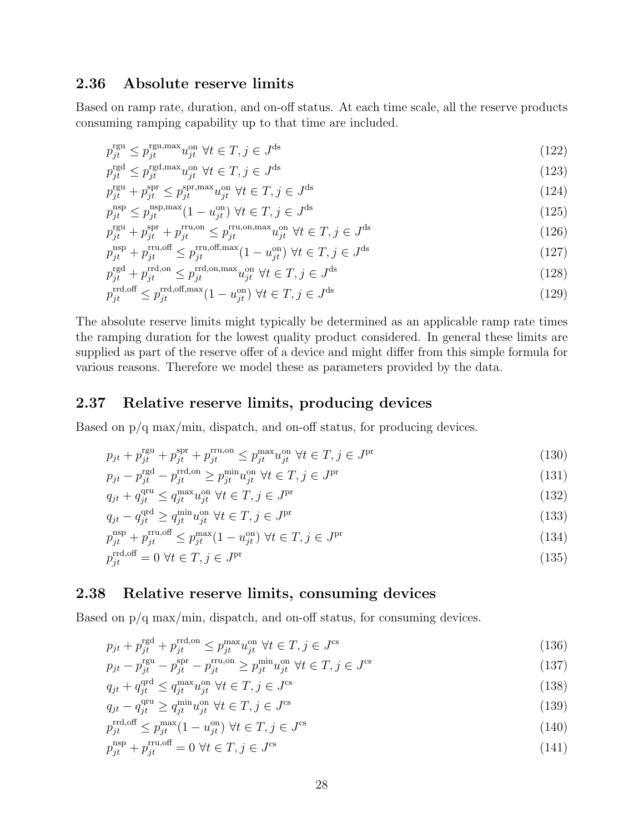## <span id="page-27-0"></span>2.36 Absolute reserve limits

Based on ramp rate, duration, and on-off status. At each time scale, all the reserve products consuming ramping capability up to that time are included.

$$
p_{jt}^{\text{rgu}} \le p_{jt}^{\text{rgu,max}} u_{jt}^{\text{on}} \ \forall t \in T, j \in J^{\text{ds}} \tag{122}
$$

$$
p_{jt}^{\text{rgd}} \le p_{jt}^{\text{rgd,max}} u_{jt}^{\text{on}} \ \forall t \in T, j \in J^{\text{ds}} \tag{123}
$$

$$
p_{jt}^{\text{rgu}} + p_{jt}^{\text{spr}} \le p_{jt}^{\text{spr,max}} u_{jt}^{\text{on}} \ \forall t \in T, j \in J^{\text{ds}}
$$
\n
$$
(124)
$$

$$
p_{jt}^{\text{nsp}, \text{max}} \le p_{jt}^{\text{nsp}, \text{max}} (1 - u_{jt}^{\text{on}}) \ \forall t \in T, j \in J^{\text{ds}}
$$
\n
$$
(125)
$$

$$
p_{jt}^{\text{rgu}} + p_{jt}^{\text{spr}} + p_{jt}^{\text{rru,on}} \le p_{jt}^{\text{rru,on,max}} u_{jt}^{\text{on}} \ \forall t \in T, j \in J^{\text{ds}}
$$
\n
$$
(126)
$$

$$
p_{jt}^{\text{nsp}} + p_{jt}^{\text{rru,off}} \le p_{jt}^{\text{rru,off}, \text{max}} (1 - u_{jt}^{\text{on}}) \ \forall t \in T, j \in J^{\text{ds}}
$$
\n
$$
(127)
$$

$$
p_{jt}^{\text{rgd}} + p_{jt}^{\text{rrd,on}} \le p_{jt}^{\text{rrd,on,max}} u_{jt}^{\text{on}} \ \forall t \in T, j \in J^{\text{ds}}
$$
\n
$$
(128)
$$

$$
p_{jt}^{\text{rrd,off}} \le p_{jt}^{\text{rrd,off,max}} (1 - u_{jt}^{\text{on}}) \ \forall t \in T, j \in J^{\text{ds}}
$$
\n
$$
(129)
$$

The absolute reserve limits might typically be determined as an applicable ramp rate times the ramping duration for the lowest quality product considered. In general these limits are supplied as part of the reserve offer of a device and might differ from this simple formula for various reasons. Therefore we model these as parameters provided by the data.

#### <span id="page-27-1"></span>2.37 Relative reserve limits, producing devices

Based on  $p/q$  max/min, dispatch, and on-off status, for producing devices.

$$
p_{jt} + p_{jt}^{\text{rgu}} + p_{jt}^{\text{spr}} + p_{jt}^{\text{rru,on}} \le p_{jt}^{\text{max}} u_{jt}^{\text{on}} \ \forall t \in T, j \in J^{\text{pr}} \tag{130}
$$

$$
p_{jt} - p_{jt}^{\text{rgd}} - p_{jt}^{\text{rrd,on}} \ge p_{jt}^{\min} u_{jt}^{\text{on}} \ \forall t \in T, j \in J^{\text{pr}} \tag{131}
$$

$$
q_{jt} + q_{jt}^{\text{qru}} \le q_{jt}^{\text{max}} w_{jt}^{\text{on}} \ \forall t \in T, j \in J^{\text{pr}} \tag{132}
$$

$$
q_{jt} - q_{jt}^{\text{qrd}} \ge q_{jt}^{\min} u_{jt}^{\text{on}} \ \forall t \in T, j \in J^{\text{pr}} \tag{133}
$$

$$
p_{jt}^{\text{nsp}} + p_{jt}^{\text{rru,off}} \le p_{jt}^{\text{max}} (1 - u_{jt}^{\text{on}}) \ \forall t \in T, j \in J^{\text{pr}} \tag{134}
$$

$$
p_{jt}^{\text{rrd,off}} = 0 \,\,\forall t \in T, j \in J^{\text{pr}} \tag{135}
$$

#### <span id="page-27-2"></span>2.38 Relative reserve limits, consuming devices

Based on  $p/q$  max/min, dispatch, and on-off status, for consuming devices.

$$
p_{jt} + p_{jt}^{\text{rgd}} + p_{jt}^{\text{rrd,on}} \le p_{jt}^{\text{max}} w_{jt}^{\text{on}} \ \forall t \in T, j \in J^{\text{cs}}
$$
\n
$$
(136)
$$

$$
p_{jt} - p_{jt}^{\text{rgu}} - p_{jt}^{\text{spr}} - p_{jt}^{\text{rru,on}} \ge p_{jt}^{\min} u_{jt}^{\text{on}} \ \forall t \in T, j \in J^{\text{cs}}
$$
\n
$$
(137)
$$

$$
q_{jt} + q_{jt}^{\text{qrd}} \le q_{jt}^{\max} u_{jt}^{\text{on}} \ \forall t \in T, j \in J^{\text{cs}}
$$
\n
$$
(138)
$$

$$
q_{jt} - q_{jt}^{\text{qru}} \ge q_{jt}^{\min} u_{jt}^{\text{on}} \ \forall t \in T, j \in J^{\text{cs}}
$$
\n
$$
(139)
$$

$$
p_{jt}^{\text{rrd,off}} \le p_{jt}^{\text{max}}(1 - u_{jt}^{\text{on}}) \ \forall t \in T, j \in J^{\text{cs}}
$$
\n
$$
(140)
$$

$$
p_{jt}^{\text{nsp}} + p_{jt}^{\text{rru,off}} = 0 \,\,\forall t \in T, j \in J^{\text{cs}} \tag{141}
$$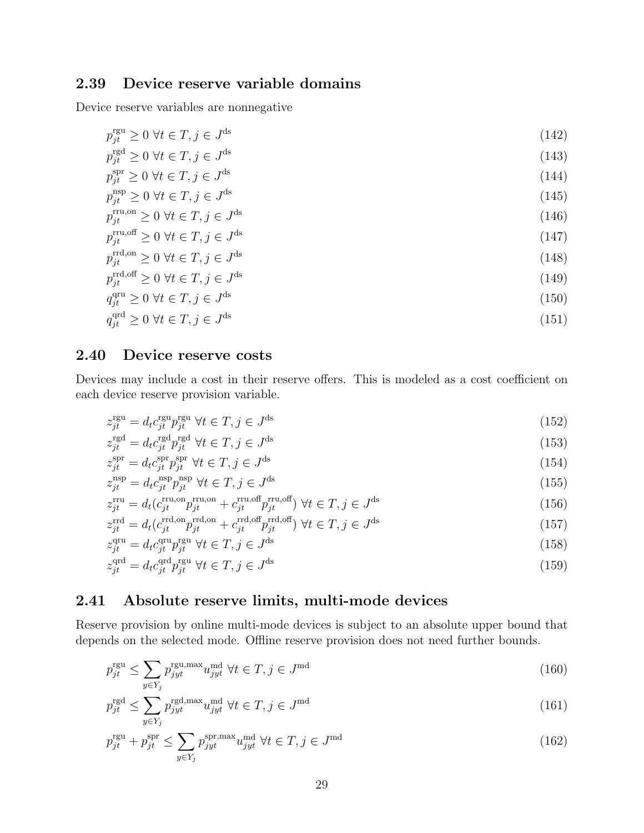## <span id="page-28-0"></span>2.39 Device reserve variable domains

Device reserve variables are nonnegative

$$
p_{jt}^{\text{rgu}} \ge 0 \,\,\forall t \in T, j \in J^{\text{ds}} \tag{142}
$$

$$
p_{jt}^{\text{rgd}} \ge 0 \ \forall t \in T, j \in J^{\text{ds}} \tag{143}
$$

$$
p_{jt}^{\text{spr}} \ge 0 \ \forall t \in T, j \in J^{\text{ds}} \tag{144}
$$

$$
p_{jt}^{\text{nsp}} \ge 0 \,\,\forall t \in T, j \in J^{\text{ds}} \tag{145}
$$

$$
p_{jt}^{\text{rru},\text{on}} \ge 0 \ \forall t \in T, j \in J^{\text{ds}} \tag{146}
$$

$$
p_{jt}^{\text{rru,off}} \ge 0 \ \forall t \in T, j \in J^{\text{ds}} \tag{147}
$$

$$
p_{jt}^{\text{rrd,on}} \ge 0 \ \forall t \in T, j \in J^{\text{ds}} \tag{148}
$$

$$
p_{jt}^{\text{rrd,off}} \ge 0 \ \forall t \in T, j \in J^{\text{ds}} \tag{149}
$$

$$
q_{jt}^{\text{qru}} \ge 0 \ \forall t \in T, j \in J^{\text{ds}} \tag{150}
$$

$$
q_{jt}^{\text{qrd}} \ge 0 \,\,\forall t \in T, j \in J^{\text{ds}} \tag{151}
$$

## <span id="page-28-1"></span>2.40 Device reserve costs

Devices may include a cost in their reserve offers. This is modeled as a cost coefficient on each device reserve provision variable.

$$
z_{jt}^{\text{rgu}} = d_t c_{jt}^{\text{rgu}} p_{jt}^{\text{rgu}} \ \forall t \in T, j \in J^{\text{ds}}
$$
\n
$$
(152)
$$

$$
z_{jt}^{\text{rgd}} = d_t c_{jt}^{\text{rgd}} p_{jt}^{\text{rgd}} \ \forall t \in T, j \in J^{\text{ds}} \tag{153}
$$

$$
z_{jt}^{\rm spr} = d_t c_{jt}^{\rm spr} p_{jt}^{\rm spr} \ \forall t \in T, j \in J^{\rm ds}
$$
\n
$$
(154)
$$

$$
z_{jt}^{\rm nsp} = d_t c_{jt}^{\rm nsp} p_{jt}^{\rm nsp} \ \forall t \in T, j \in J^{\rm ds}
$$
\n
$$
(155)
$$

$$
z_{jt}^{\text{rru}} = d_t(c_{jt}^{\text{rru,on}} p_{jt}^{\text{rru,on}} + c_{jt}^{\text{rru,off}} p_{jt}^{\text{rru,off}}) \ \forall t \in T, j \in J^{\text{ds}}
$$
\n
$$
(156)
$$

$$
z_{jt}^{\text{rrd}} = d_t(c_{jt}^{\text{rrd,on}} p_{jt}^{\text{rrd,on}} + c_{jt}^{\text{rrd,off}} p_{jt}^{\text{rrd,off}}) \ \forall t \in T, j \in J^{\text{ds}}
$$
\n
$$
(157)
$$

$$
z_{jt}^{\text{qru}} = d_t c_{jt}^{\text{qru}} p_{jt}^{\text{rgu}} \ \forall t \in T, j \in J^{\text{ds}}
$$
\n
$$
(158)
$$

$$
z_{jt}^{\text{qrd}} = d_t c_{jt}^{\text{qrd}} p_{jt}^{\text{rgu}} \ \forall t \in T, j \in J^{\text{ds}}
$$
\n
$$
(159)
$$

#### <span id="page-28-2"></span>2.41 Absolute reserve limits, multi-mode devices

Reserve provision by online multi-mode devices is subject to an absolute upper bound that depends on the selected mode. Offline reserve provision does not need further bounds.

$$
p_{jt}^{\text{rgu}} \le \sum_{y \in Y_j} p_{jyt}^{\text{rgu,max}} u_{jyt}^{\text{md}} \ \forall t \in T, j \in J^{\text{md}} \tag{160}
$$

$$
p_{jt}^{\text{rgd}} \le \sum_{y \in Y_j} p_{jyt}^{\text{rgd,max}} u_{jyt}^{\text{md}} \ \forall t \in T, j \in J^{\text{md}} \tag{161}
$$

$$
p_{jt}^{\text{rgu}} + p_{jt}^{\text{spr}} \le \sum_{y \in Y_j} p_{jyt}^{\text{spr,max}} u_{jyt}^{\text{md}} \ \forall t \in T, j \in J^{\text{md}}
$$
\n
$$
(162)
$$